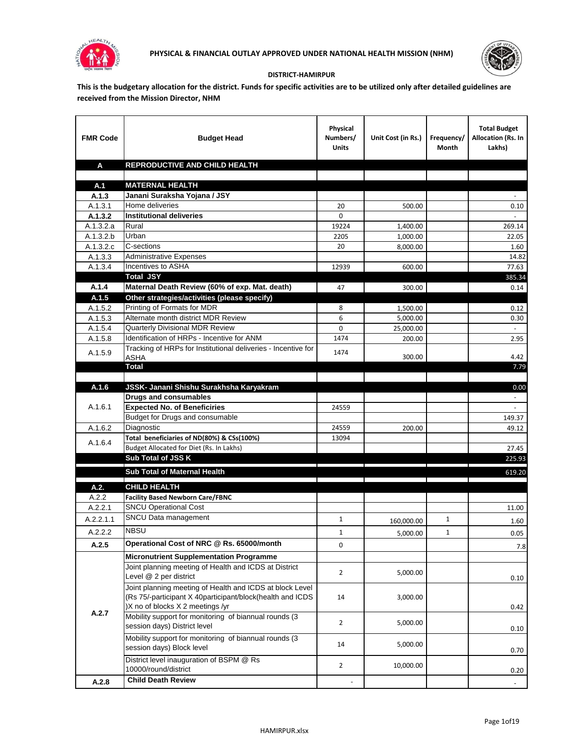



## **DISTRICT-HAMIRPUR**

**This is the budgetary allocation for the district. Funds for specific activities are to be utilized only after detailed guidelines are received from the Mission Director, NHM**

| <b>FMR Code</b> | <b>Budget Head</b>                                                    | Physical<br>Numbers/<br><b>Units</b> | Unit Cost (in Rs.) | Frequency/<br>Month | <b>Total Budget</b><br>Allocation (Rs. In<br>Lakhs) |
|-----------------|-----------------------------------------------------------------------|--------------------------------------|--------------------|---------------------|-----------------------------------------------------|
| A               | REPRODUCTIVE AND CHILD HEALTH                                         |                                      |                    |                     |                                                     |
|                 |                                                                       |                                      |                    |                     |                                                     |
| A.1<br>A.1.3    | <b>MATERNAL HEALTH</b><br>Janani Suraksha Yojana / JSY                |                                      |                    |                     |                                                     |
| A.1.3.1         | Home deliveries                                                       | 20                                   | 500.00             |                     | 0.10                                                |
| A.1.3.2         | <b>Institutional deliveries</b>                                       | $\Omega$                             |                    |                     |                                                     |
| A.1.3.2.a       | Rural                                                                 | 19224                                | 1,400.00           |                     | 269.14                                              |
| A.1.3.2.b       | Urban                                                                 | 2205                                 | 1,000.00           |                     | 22.05                                               |
| A.1.3.2.c       | C-sections                                                            | 20                                   | 8,000.00           |                     | 1.60                                                |
| A.1.3.3         | <b>Administrative Expenses</b>                                        |                                      |                    |                     | 14.82                                               |
| A.1.3.4         | Incentives to ASHA                                                    | 12939                                | 600.00             |                     | 77.63                                               |
|                 | <b>Total JSY</b>                                                      |                                      |                    |                     | 385.34                                              |
| A.1.4           | Maternal Death Review (60% of exp. Mat. death)                        | 47                                   | 300.00             |                     | 0.14                                                |
| A.1.5           | Other strategies/activities (please specify)                          |                                      |                    |                     |                                                     |
| A.1.5.2         | Printing of Formats for MDR                                           | 8                                    | 1,500.00           |                     | 0.12                                                |
| A.1.5.3         | Alternate month district MDR Review                                   | 6                                    | 5.000.00           |                     | 0.30                                                |
| A.1.5.4         | <b>Quarterly Divisional MDR Review</b>                                | 0                                    | 25,000.00          |                     |                                                     |
| A.1.5.8         | Identification of HRPs - Incentive for ANM                            | 1474                                 | 200.00             |                     | 2.95                                                |
| A.1.5.9         | Tracking of HRPs for Institutional deliveries - Incentive for<br>ASHA | 1474                                 | 300.00             |                     | 4.42                                                |
|                 | <b>Total</b>                                                          |                                      |                    |                     | 7.79                                                |
|                 |                                                                       |                                      |                    |                     |                                                     |
| A.1.6           | JSSK- Janani Shishu Surakhsha Karyakram                               |                                      |                    |                     | 0.00                                                |
|                 | <b>Drugs and consumables</b>                                          |                                      |                    |                     | $\sim$                                              |
| A.1.6.1         | <b>Expected No. of Beneficiries</b>                                   | 24559                                |                    |                     |                                                     |
|                 | Budget for Drugs and consumable                                       |                                      |                    |                     | 149.37                                              |
| A.1.6.2         | Diagnostic                                                            | 24559                                | 200.00             |                     | 49.12                                               |
| A.1.6.4         | Total beneficiaries of ND(80%) & CSs(100%)                            | 13094                                |                    |                     |                                                     |
|                 | Budget Allocated for Diet (Rs. In Lakhs)                              |                                      |                    |                     | 27.45                                               |
|                 | Sub Total of JSS K                                                    |                                      |                    |                     | 225.93                                              |
|                 | Sub Total of Maternal Health                                          |                                      |                    |                     | 619.20                                              |
| A.2.            | <b>CHILD HEALTH</b>                                                   |                                      |                    |                     |                                                     |
| A.2.2           | <b>Facility Based Newborn Care/FBNC</b>                               |                                      |                    |                     |                                                     |
| A.2.2.1         | <b>SNCU Operational Cost</b>                                          |                                      |                    |                     | 11.00                                               |
| A.2.2.1.1       | SNCU Data management                                                  | $\mathbf{1}$                         | 160,000.00         | $\mathbf{1}$        | 1.60                                                |
| A.2.2.2         | <b>NBSU</b>                                                           | $\mathbf{1}$                         | 5,000.00           | $\mathbf{1}$        | 0.05                                                |
| A.2.5           | Operational Cost of NRC @ Rs. 65000/month                             | 0                                    |                    |                     | 7.8                                                 |
|                 | <b>Micronutrient Supplementation Programme</b>                        |                                      |                    |                     |                                                     |
|                 | Joint planning meeting of Health and ICDS at District                 |                                      |                    |                     |                                                     |
|                 | Level @ 2 per district                                                | $\overline{2}$                       | 5,000.00           |                     | 0.10                                                |
|                 | Joint planning meeting of Health and ICDS at block Level              |                                      |                    |                     |                                                     |
|                 | (Rs 75/-participant X 40participant/block(health and ICDS             | 14                                   | 3,000.00           |                     |                                                     |
|                 | )X no of blocks X 2 meetings /yr                                      |                                      |                    |                     | 0.42                                                |
| A.2.7           | Mobility support for monitoring of biannual rounds (3                 | $\overline{2}$                       | 5,000.00           |                     |                                                     |
|                 | session days) District level                                          |                                      |                    |                     | 0.10                                                |
|                 | Mobility support for monitoring of biannual rounds (3                 | 14                                   | 5,000.00           |                     |                                                     |
|                 | session days) Block level                                             |                                      |                    |                     | 0.70                                                |
|                 | District level inauguration of BSPM @ Rs                              | $\overline{2}$                       | 10,000.00          |                     |                                                     |
|                 | 10000/round/district                                                  |                                      |                    |                     | 0.20                                                |
| A.2.8           | <b>Child Death Review</b>                                             |                                      |                    |                     |                                                     |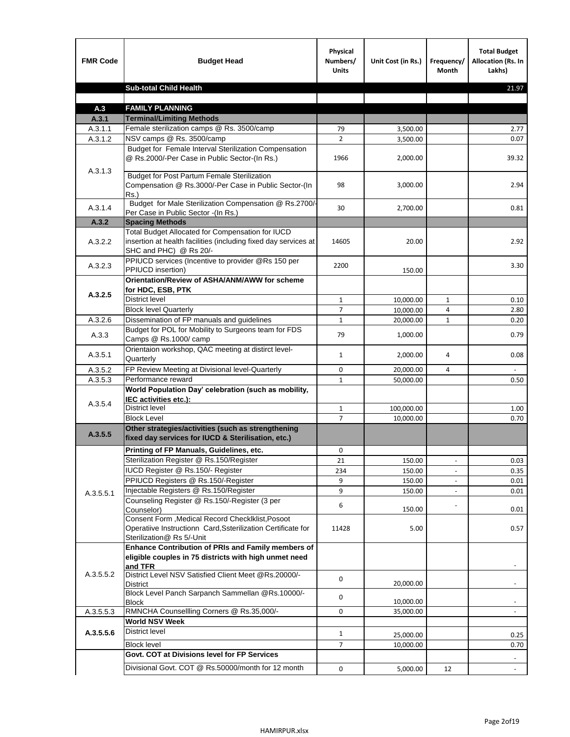| <b>FMR Code</b> | <b>Budget Head</b>                                                                                                                             | Physical<br>Numbers/<br><b>Units</b> | Unit Cost (in Rs.) | Frequency/<br><b>Month</b> | <b>Total Budget</b><br>Allocation (Rs. In<br>Lakhs) |
|-----------------|------------------------------------------------------------------------------------------------------------------------------------------------|--------------------------------------|--------------------|----------------------------|-----------------------------------------------------|
|                 | <b>Sub-total Child Health</b>                                                                                                                  |                                      |                    |                            | 21.97                                               |
|                 |                                                                                                                                                |                                      |                    |                            |                                                     |
| A.3             | <b>FAMILY PLANNING</b>                                                                                                                         |                                      |                    |                            |                                                     |
| A.3.1           | <b>Terminal/Limiting Methods</b><br>Female sterilization camps @ Rs. 3500/camp                                                                 |                                      |                    |                            |                                                     |
| A.3.1.1         | NSV camps @ Rs. 3500/camp                                                                                                                      | 79<br>$\overline{2}$                 | 3,500.00           |                            | 2.77                                                |
| A.3.1.2         | Budget for Female Interval Sterilization Compensation                                                                                          |                                      | 3,500.00           |                            | 0.07                                                |
| A.3.1.3         | @ Rs.2000/-Per Case in Public Sector-(In Rs.)                                                                                                  | 1966                                 | 2,000.00           |                            | 39.32                                               |
|                 | <b>Budget for Post Partum Female Sterilization</b><br>Compensation @ Rs.3000/-Per Case in Public Sector-(In<br>$Rs.$ )                         | 98                                   | 3,000.00           |                            | 2.94                                                |
| A.3.1.4         | Budget for Male Sterilization Compensation @ Rs.2700/-<br>Per Case in Public Sector -(In Rs.)                                                  | 30                                   | 2,700.00           |                            | 0.81                                                |
| A.3.2           | <b>Spacing Methods</b>                                                                                                                         |                                      |                    |                            |                                                     |
| A.3.2.2         | Total Budget Allocated for Compensation for IUCD<br>insertion at health facilities (including fixed day services at<br>SHC and PHC) @ Rs 20/-  | 14605                                | 20.00              |                            | 2.92                                                |
| A.3.2.3         | PPIUCD services (Incentive to provider @Rs 150 per<br>PPIUCD insertion)                                                                        | 2200                                 | 150.00             |                            | 3.30                                                |
| A.3.2.5         | Orientation/Review of ASHA/ANM/AWW for scheme<br>for HDC, ESB, PTK                                                                             |                                      |                    |                            |                                                     |
|                 | <b>District level</b>                                                                                                                          | $\mathbf{1}$                         | 10,000.00          | $\mathbf{1}$               | 0.10                                                |
|                 | <b>Block level Quarterly</b>                                                                                                                   | 7                                    | 10,000.00          | 4                          | 2.80                                                |
| A.3.2.6         | Dissemination of FP manuals and guidelines                                                                                                     | $\mathbf{1}$                         | 20,000.00          | $\mathbf{1}$               | 0.20                                                |
| A.3.3           | Budget for POL for Mobility to Surgeons team for FDS<br>Camps @ Rs.1000/ camp                                                                  | 79                                   | 1,000.00           |                            | 0.79                                                |
| A.3.5.1         | Orientaion workshop, QAC meeting at distirct level-<br>Quarterly                                                                               | $\mathbf{1}$                         | 2,000.00           | 4                          | 0.08                                                |
| A.3.5.2         | FP Review Meeting at Divisional level-Quarterly                                                                                                | 0                                    | 20,000.00          | 4                          |                                                     |
| A.3.5.3         | Performance reward                                                                                                                             | $\mathbf{1}$                         | 50,000.00          |                            | 0.50                                                |
| A.3.5.4         | World Population Day' celebration (such as mobility,<br>IEC activities etc.):                                                                  |                                      |                    |                            |                                                     |
|                 | District level                                                                                                                                 | $\mathbf{1}$                         | 100,000.00         |                            | 1.00                                                |
|                 | <b>Block Level</b>                                                                                                                             | $\overline{7}$                       | 10.000.00          |                            | 0.70                                                |
| A.3.5.5         | Other strategies/activities (such as strengthening<br>fixed day services for IUCD & Sterilisation, etc.)                                       |                                      |                    |                            |                                                     |
|                 | Printing of FP Manuals, Guidelines, etc.                                                                                                       | 0                                    |                    |                            |                                                     |
|                 | Sterilization Register @ Rs.150/Register                                                                                                       | 21                                   | 150.00             |                            | 0.03                                                |
|                 | IUCD Register @ Rs.150/- Register                                                                                                              | 234                                  | 150.00             |                            | 0.35                                                |
|                 | PPIUCD Registers @ Rs.150/-Register                                                                                                            | 9                                    | 150.00             |                            | 0.01                                                |
| A.3.5.5.1       | Injectable Registers @ Rs.150/Register                                                                                                         | 9                                    | 150.00             |                            | 0.01                                                |
|                 | Counseling Register @ Rs.150/-Register (3 per<br>Counselor)                                                                                    | 6                                    | 150.00             |                            | 0.01                                                |
|                 | Consent Form , Medical Record CheckIklist, Posoot<br>Operatiive Instructionn Card, Ssterilization Certificate for<br>Sterilization@ Rs 5/-Unit | 11428                                | 5.00               |                            | 0.57                                                |
|                 | Enhance Contribution of PRIs and Family members of<br>eligible couples in 75 districts with high unmet need<br>and TFR                         |                                      |                    |                            |                                                     |
| A.3.5.5.2       | District Level NSV Satisfied Client Meet @Rs.20000/-<br>District                                                                               | 0                                    | 20,000.00          |                            |                                                     |
|                 | Block Level Panch Sarpanch Sammellan @Rs.10000/-<br><b>Block</b>                                                                               | 0                                    | 10,000.00          |                            |                                                     |
| A.3.5.5.3       | RMNCHA Counsellling Corners @ Rs.35,000/-                                                                                                      | 0                                    | 35,000.00          |                            |                                                     |
|                 | <b>World NSV Week</b>                                                                                                                          |                                      |                    |                            |                                                     |
| A.3.5.5.6       | <b>District level</b>                                                                                                                          | $\mathbf{1}$                         | 25,000.00          |                            | 0.25                                                |
|                 | <b>Block level</b>                                                                                                                             | $\overline{7}$                       | 10,000.00          |                            | 0.70                                                |
|                 | Govt. COT at Divisions level for FP Services                                                                                                   |                                      |                    |                            |                                                     |
|                 | Divisional Govt. COT @ Rs.50000/month for 12 month                                                                                             | 0                                    | 5,000.00           | 12                         | $\blacksquare$                                      |
|                 |                                                                                                                                                |                                      |                    |                            |                                                     |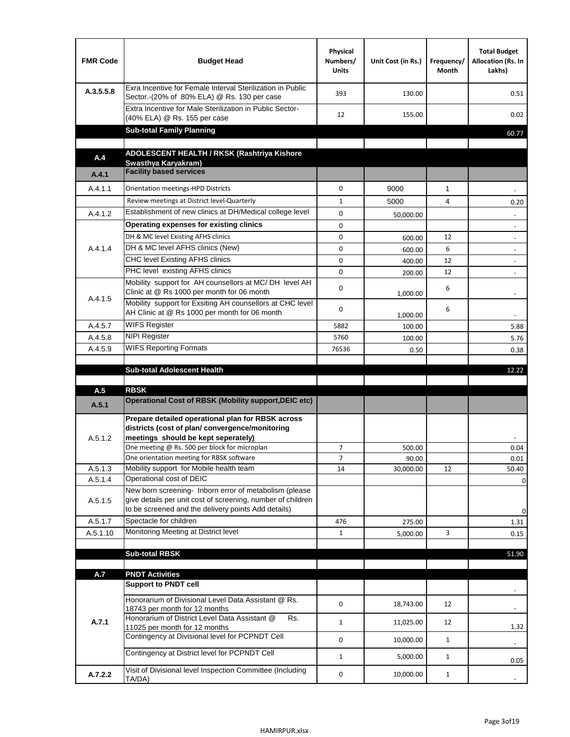| <b>FMR Code</b> | <b>Budget Head</b>                                                                                                                                                                                                                       | Physical<br>Numbers/<br><b>Units</b> | Unit Cost (in Rs.) | Frequency/<br>Month | <b>Total Budget</b><br>Allocation (Rs. In<br>Lakhs) |
|-----------------|------------------------------------------------------------------------------------------------------------------------------------------------------------------------------------------------------------------------------------------|--------------------------------------|--------------------|---------------------|-----------------------------------------------------|
| A.3.5.5.8       | Exra Incentive for Female Interval Sterilization in Public<br>Sector.-(20% of 80% ELA) @ Rs. 130 per case                                                                                                                                | 393                                  | 130.00             |                     | 0.51                                                |
|                 | Extra Incentive for Male Sterilization in Public Sector-<br>(40% ELA) @ Rs. 155 per case                                                                                                                                                 | 12                                   | 155.00             |                     | 0.02                                                |
|                 | <b>Sub-total Family Planning</b>                                                                                                                                                                                                         |                                      |                    |                     | 60.77                                               |
|                 | ADOLESCENT HEALTH / RKSK (Rashtriya Kishore                                                                                                                                                                                              |                                      |                    |                     |                                                     |
| A.4             | Swasthya Karyakram)                                                                                                                                                                                                                      |                                      |                    |                     |                                                     |
| A.4.1           | <b>Facility based services</b>                                                                                                                                                                                                           |                                      |                    |                     |                                                     |
| A.4.1.1         | Orientation meetings-HPD Districts                                                                                                                                                                                                       | $\Omega$                             | 9000               | $\mathbf{1}$        |                                                     |
|                 | Review meetings at District level-Quarterly                                                                                                                                                                                              | $\mathbf{1}$                         | 5000               | 4                   | 0.20                                                |
| A.4.1.2         | Establishment of new clinics at DH/Medical college level                                                                                                                                                                                 | 0                                    | 50,000.00          |                     |                                                     |
|                 | Operating expenses for existing clinics                                                                                                                                                                                                  | 0                                    |                    |                     |                                                     |
|                 | DH & MC level Existing AFHS clinics                                                                                                                                                                                                      | 0                                    | 600.00             | 12                  |                                                     |
| A.4.1.4         | DH & MC level AFHS clinics (New)                                                                                                                                                                                                         | 0                                    | 600.00             | 6                   | $\overline{\phantom{a}}$                            |
|                 | CHC level Existing AFHS clinics                                                                                                                                                                                                          | 0                                    | 400.00             | 12                  | $\overline{\phantom{a}}$                            |
|                 | PHC level existing AFHS clinics                                                                                                                                                                                                          | $\Omega$                             | 200.00             | 12                  | $\blacksquare$                                      |
| A.4.1.5         | Mobility support for AH counsellors at MC/DH level AH<br>Clinic at @ Rs 1000 per month for 06 month                                                                                                                                      | 0                                    | 1,000.00           | 6                   |                                                     |
|                 | Mobility support for Exsiting AH counsellors at CHC level<br>AH Clinic at @ Rs 1000 per month for 06 month                                                                                                                               | 0                                    | 1,000.00           | 6                   |                                                     |
| A.4.5.7         | <b>WIFS Register</b>                                                                                                                                                                                                                     | 5882                                 | 100.00             |                     | 5.88                                                |
| A.4.5.8         | <b>NIPI Register</b>                                                                                                                                                                                                                     | 5760                                 | 100.00             |                     | 5.76                                                |
| A.4.5.9         | <b>WIFS Reporting Formats</b>                                                                                                                                                                                                            | 76536                                | 0.50               |                     | 0.38                                                |
|                 | <b>Sub-total Adolescent Health</b>                                                                                                                                                                                                       |                                      |                    |                     | 12.22                                               |
| A.5             | <b>RBSK</b><br><b>Operational Cost of RBSK (Mobility support, DEIC etc)</b>                                                                                                                                                              |                                      |                    |                     |                                                     |
| A.5.1           |                                                                                                                                                                                                                                          |                                      |                    |                     |                                                     |
| A.5.1.2         | Prepare detailed operational plan for RBSK across<br>districts (cost of plan/convergence/monitoring<br>meetings should be kept seperately)<br>One meeting @ Rs. 500 per block for microplan<br>One orientation meeting for RBSK software | $\overline{7}$                       | 500.00             |                     | 0.04                                                |
| A.5.1.3         | Mobility support for Mobile health team                                                                                                                                                                                                  | 7<br>14                              | 90.00<br>30,000.00 | 12                  | 0.01<br>50.40                                       |
| A.5.1.4         | Operational cost of DEIC                                                                                                                                                                                                                 |                                      |                    |                     | 0                                                   |
| A.5.1.5         | New born screening- Inborn error of metabolism (please<br>give details per unit cost of screening, number of children<br>to be screened and the delivery points Add details)                                                             |                                      |                    |                     | 0                                                   |
| A.5.1.7         | Spectacle for children                                                                                                                                                                                                                   | 476                                  | 275.00             |                     | 1.31                                                |
| A.5.1.10        | Monitoring Meeting at District level                                                                                                                                                                                                     | $\mathbf{1}$                         | 5,000.00           | 3                   | 0.15                                                |
|                 |                                                                                                                                                                                                                                          |                                      |                    |                     |                                                     |
|                 | <b>Sub-total RBSK</b>                                                                                                                                                                                                                    |                                      |                    |                     | 51.90                                               |
| A.7             | <b>PNDT Activities</b>                                                                                                                                                                                                                   |                                      |                    |                     |                                                     |
|                 | <b>Support to PNDT cell</b>                                                                                                                                                                                                              |                                      |                    |                     |                                                     |
|                 | Honorarium of Divisional Level Data Assistant @ Rs.<br>18743 per month for 12 months                                                                                                                                                     | 0                                    | 18,743.00          | 12                  |                                                     |
| A.7.1           | Honorarium of District Level Data Assistant @<br>Rs.<br>11025 per month for 12 months                                                                                                                                                    | $\mathbf{1}$                         | 11,025.00          | 12                  | 1.32                                                |
|                 | Contingency at Divisional level for PCPNDT Cell                                                                                                                                                                                          | 0                                    | 10,000.00          | $\mathbf{1}$        | $\overline{\phantom{a}}$                            |
|                 | Contingency at District level for PCPNDT Cell                                                                                                                                                                                            | $\mathbf{1}$                         | 5,000.00           | $\mathbf{1}$        | 0.05                                                |
| A.7.2.2         | Visit of Divisional level Inspection Committee (Including<br>TA/DA)                                                                                                                                                                      | 0                                    | 10,000.00          | $\mathbf{1}$        |                                                     |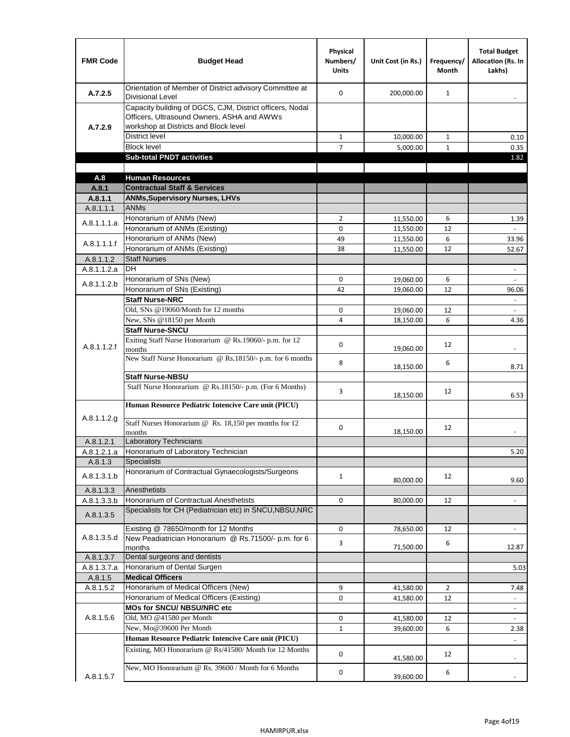| <b>FMR Code</b>      | <b>Budget Head</b>                                                                                                                              | Physical<br>Numbers/<br><b>Units</b> | Unit Cost (in Rs.)     | Frequency/<br><b>Month</b> | <b>Total Budget</b><br><b>Allocation (Rs. In</b><br>Lakhs) |
|----------------------|-------------------------------------------------------------------------------------------------------------------------------------------------|--------------------------------------|------------------------|----------------------------|------------------------------------------------------------|
| A.7.2.5              | Orientation of Member of District advisory Committee at<br><b>Divisional Level</b>                                                              | $\Omega$                             | 200,000.00             | $\mathbf{1}$               | $\overline{\phantom{m}}$                                   |
| A.7.2.9              | Capacity building of DGCS, CJM, District officers, Nodal<br>Officers, Ultrasound Owners, ASHA and AWWs<br>workshop at Districts and Block level |                                      |                        |                            |                                                            |
|                      | <b>District level</b>                                                                                                                           | $\mathbf{1}$                         | 10,000.00              | $\mathbf{1}$               | 0.10                                                       |
|                      | <b>Block level</b>                                                                                                                              | 7                                    | 5,000.00               | $\mathbf{1}$               | 0.35                                                       |
|                      | <b>Sub-total PNDT activities</b>                                                                                                                |                                      |                        |                            | 1.82                                                       |
|                      |                                                                                                                                                 |                                      |                        |                            |                                                            |
| A.8                  | <b>Human Resources</b>                                                                                                                          |                                      |                        |                            |                                                            |
| A.8.1                | <b>Contractual Staff &amp; Services</b>                                                                                                         |                                      |                        |                            |                                                            |
| A.8.1.1<br>A.8.1.1.1 | <b>ANMs, Supervisory Nurses, LHVs</b><br><b>ANMs</b>                                                                                            |                                      |                        |                            |                                                            |
|                      | Honorarium of ANMs (New)                                                                                                                        | $\overline{2}$                       |                        | 6                          |                                                            |
| A.8.1.1.1.a          | Honorarium of ANMs (Existing)                                                                                                                   | 0                                    | 11,550.00<br>11,550.00 | 12                         | 1.39                                                       |
|                      | Honorarium of ANMs (New)                                                                                                                        | 49                                   | 11,550.00              | 6                          | 33.96                                                      |
| A.8.1.1.1.f          | Honorarium of ANMs (Existing)                                                                                                                   | 38                                   | 11,550.00              | 12                         | 52.67                                                      |
| A.8.1.1.2            | <b>Staff Nurses</b>                                                                                                                             |                                      |                        |                            |                                                            |
| A.8.1.1.2.a          | <b>DH</b>                                                                                                                                       |                                      |                        |                            | $\blacksquare$                                             |
|                      | Honorarium of SNs (New)                                                                                                                         | 0                                    | 19,060.00              | 6                          |                                                            |
| A.8.1.1.2.b          | Honorarium of SNs (Existing)                                                                                                                    | 42                                   | 19.060.00              | 12                         | 96.06                                                      |
|                      | <b>Staff Nurse-NRC</b>                                                                                                                          |                                      |                        |                            | $\overline{\phantom{a}}$                                   |
|                      | Old, SNs @19060/Month for 12 months                                                                                                             | 0                                    | 19,060.00              | 12                         | $\overline{\phantom{a}}$                                   |
|                      | New, SNs @18150 per Month                                                                                                                       | 4                                    | 18,150.00              | 6                          | 4.36                                                       |
|                      | <b>Staff Nurse-SNCU</b>                                                                                                                         |                                      |                        |                            |                                                            |
| A.8.1.1.2.f          | Exiting Staff Nurse Honorarium @ Rs.19060/- p.m. for 12<br>months                                                                               | $\Omega$                             | 19,060.00              | 12                         | -                                                          |
|                      | New Staff Nurse Honorarium @ Rs.18150/- p.m. for 6 months                                                                                       | 8                                    | 18,150.00              | 6                          | 8.71                                                       |
|                      | <b>Staff Nurse-NBSU</b>                                                                                                                         |                                      |                        |                            |                                                            |
|                      | Staff Nurse Honorarium @ Rs.18150/- p.m. (For 6 Months)                                                                                         | 3                                    | 18,150.00              | 12                         | 6.53                                                       |
|                      | Human Resource Pediatric Intencive Care unit (PICU)                                                                                             |                                      |                        |                            |                                                            |
| A.8.1.1.2.g          | Staff Nurses Honorarium @ Rs. 18,150 per months for 12<br>months                                                                                | 0                                    | 18,150.00              | 12                         |                                                            |
| A.8.1.2.1            | <b>Laboratory Technicians</b>                                                                                                                   |                                      |                        |                            |                                                            |
| A.8.1.2.1.a          | Honorarium of Laboratory Technician                                                                                                             |                                      |                        |                            | 5.20                                                       |
| A.8.1.3              | <b>Specialists</b>                                                                                                                              |                                      |                        |                            |                                                            |
| A.8.1.3.1.b          | Honorarium of Contractual Gynaecologists/Surgeons                                                                                               | $\mathbf{1}$                         | 80,000.00              | 12                         | 9.60                                                       |
| A.8.1.3.3            | Anesthetists                                                                                                                                    |                                      |                        |                            |                                                            |
| A.8.1.3.3.b          | Honorarium of Contractual Anesthetists                                                                                                          | 0                                    | 80,000.00              | 12                         | $\blacksquare$                                             |
| A.8.1.3.5            | Specialists for CH (Pediatrician etc) in SNCU, NBSU, NRC                                                                                        |                                      |                        |                            |                                                            |
|                      | Existing @ 78650/month for 12 Months                                                                                                            | 0                                    | 78,650.00              | 12                         | $\blacksquare$                                             |
| A.8.1.3.5.d          | New Peadiatrician Honorarium @ Rs.71500/- p.m. for 6<br>months                                                                                  | 3                                    | 71,500.00              | 6                          | 12.87                                                      |
| A.8.1.3.7            | Dental surgeons and dentists                                                                                                                    |                                      |                        |                            |                                                            |
| A.8.1.3.7.a          | Honorarium of Dental Surgen                                                                                                                     |                                      |                        |                            | 5.03                                                       |
| A.8.1.5              | <b>Medical Officers</b>                                                                                                                         |                                      |                        |                            |                                                            |
| A.8.1.5.2            | Honorarium of Medical Officers (New)                                                                                                            | 9                                    | 41,580.00              | $\overline{2}$             | 7.48                                                       |
|                      | Honorarium of Medical Officers (Existing)                                                                                                       | 0                                    | 41,580.00              | 12                         | $\overline{\phantom{m}}$                                   |
|                      | MOs for SNCU/ NBSU/NRC etc                                                                                                                      |                                      |                        |                            |                                                            |
| A.8.1.5.6            | Old, MO @41580 per Month                                                                                                                        | 0                                    | 41,580.00              | 12                         | $\blacksquare$                                             |
|                      | New, Mo@39600 Per Month                                                                                                                         | $\mathbf{1}$                         | 39,600.00              | 6                          | 2.38                                                       |
|                      | Human Resource Pediatric Intencive Care unit (PICU)                                                                                             |                                      |                        |                            |                                                            |
|                      | Existing, MO Honorarium @ Rs/41580/ Month for 12 Months                                                                                         | $\mathbf 0$                          | 41,580.00              | 12                         |                                                            |
| A.8.1.5.7            | New, MO Honorarium @ Rs. 39600 / Month for 6 Months                                                                                             | 0                                    | 39,600.00              | 6                          |                                                            |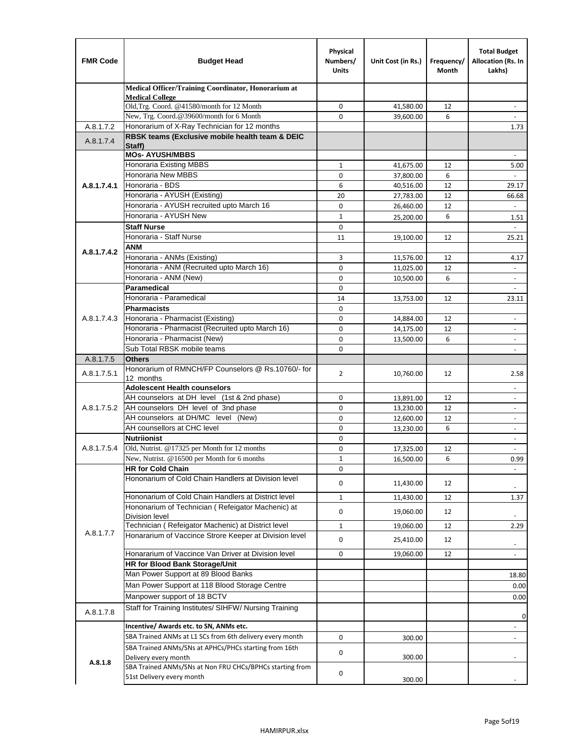| <b>FMR Code</b> | <b>Budget Head</b>                                                   | Physical<br>Numbers/<br><b>Units</b> | Unit Cost (in Rs.) | Frequency/<br>Month | <b>Total Budget</b><br>Allocation (Rs. In<br>Lakhs) |
|-----------------|----------------------------------------------------------------------|--------------------------------------|--------------------|---------------------|-----------------------------------------------------|
|                 | Medical Officer/Training Coordinator, Honorarium at                  |                                      |                    |                     |                                                     |
|                 | <b>Medical College</b><br>Old, Trg. Coord. @41580/month for 12 Month | 0                                    | 41,580.00          | 12                  |                                                     |
|                 | New, Trg. Coord.@39600/month for 6 Month                             | $\Omega$                             | 39,600.00          | 6                   |                                                     |
| A.8.1.7.2       | Honorarium of X-Ray Technician for 12 months                         |                                      |                    |                     | 1.73                                                |
| A.8.1.7.4       | RBSK teams (Exclusive mobile health team & DEIC                      |                                      |                    |                     |                                                     |
|                 | Staff)<br><b>MOs- AYUSH/MBBS</b>                                     |                                      |                    |                     |                                                     |
|                 | Honoraria Existing MBBS                                              | $\mathbf{1}$                         | 41,675.00          | 12                  | 5.00                                                |
|                 | Honoraria New MBBS                                                   | 0                                    | 37,800.00          | 6                   |                                                     |
| A.8.1.7.4.1     | Honoraria - BDS                                                      | 6                                    | 40,516.00          | 12                  | 29.17                                               |
|                 | Honoraria - AYUSH (Existing)                                         | 20                                   | 27,783.00          | 12                  | 66.68                                               |
|                 | Honoraria - AYUSH recruited upto March 16                            | $\mathbf 0$                          | 26,460.00          | 12                  |                                                     |
|                 | Honoraria - AYUSH New                                                | $\mathbf{1}$                         | 25,200.00          | 6                   | 1.51                                                |
|                 | <b>Staff Nurse</b>                                                   | $\mathbf 0$                          |                    |                     | $\mathbf{r}$                                        |
|                 | Honoraria - Staff Nurse                                              | 11                                   | 19,100.00          | 12                  | 25.21                                               |
| A.8.1.7.4.2     | ANM                                                                  |                                      |                    |                     |                                                     |
|                 | Honoraria - ANMs (Existing)                                          | 3                                    | 11,576.00          | 12                  | 4.17                                                |
|                 | Honoraria - ANM (Recruited upto March 16)                            | 0                                    | 11,025.00          | 12                  |                                                     |
|                 | Honoraria - ANM (New)                                                | $\mathbf 0$                          | 10,500.00          | 6                   |                                                     |
|                 | <b>Paramedical</b>                                                   | $\mathbf 0$                          |                    |                     | $\overline{\phantom{a}}$                            |
|                 | Honoraria - Paramedical                                              | 14                                   | 13,753.00          | 12                  | 23.11                                               |
|                 | <b>Pharmacists</b>                                                   | $\mathbf 0$                          |                    |                     |                                                     |
| A.8.1.7.4.3     | Honoraria - Pharmacist (Existing)                                    | 0                                    | 14,884.00          | 12                  | $\overline{\phantom{a}}$                            |
|                 | Honoraria - Pharmacist (Recruited upto March 16)                     | $\mathbf 0$                          | 14,175.00          | 12                  | $\blacksquare$                                      |
|                 | Honoraria - Pharmacist (New)                                         | $\mathbf 0$                          | 13,500.00          | 6                   | ÷,                                                  |
|                 | Sub Total RBSK mobile teams<br><b>Others</b>                         | $\Omega$                             |                    |                     | $\overline{\phantom{a}}$                            |
| A.8.1.7.5       | Honorarium of RMNCH/FP Counselors @ Rs.10760/- for                   |                                      |                    |                     |                                                     |
| A.8.1.7.5.1     | 12 months                                                            | $\overline{2}$                       | 10,760.00          | 12                  | 2.58                                                |
|                 | <b>Adolescent Health counselors</b>                                  |                                      |                    |                     | $\overline{\phantom{a}}$                            |
|                 | AH counselors at DH level (1st & 2nd phase)                          | $\mathbf 0$                          | 13,891.00          | 12                  | $\overline{\phantom{a}}$                            |
| A.8.1.7.5.2     | AH counselors DH level of 3nd phase                                  | $\mathbf 0$                          | 13,230.00          | 12                  | $\overline{\phantom{a}}$                            |
|                 | AH counselors at DH/MC level (New)                                   | 0                                    | 12,600.00          | 12                  | $\blacksquare$                                      |
|                 | AH counsellors at CHC level                                          | $\mathbf 0$                          | 13,230.00          | 6                   | $\blacksquare$                                      |
|                 | <b>Nutriionist</b>                                                   | $\mathbf 0$                          |                    |                     | $\overline{\phantom{a}}$                            |
| A.8.1.7.5.4     | Old, Nutrist. @17325 per Month for 12 months                         | $\mathbf 0$                          | 17,325.00          | 12                  |                                                     |
|                 | New, Nutrist. @16500 per Month for 6 months                          | 1                                    | 16,500.00          | 6                   | 0.99                                                |
|                 | <b>HR for Cold Chain</b>                                             | 0                                    |                    |                     |                                                     |
|                 | Hononarium of Cold Chain Handlers at Division level                  | 0                                    | 11,430.00          | 12                  |                                                     |
|                 | Hononarium of Cold Chain Handlers at District level                  | 1                                    | 11,430.00          | 12                  | 1.37                                                |
|                 | Hononarium of Technician (Refeigator Machenic) at                    | 0                                    | 19,060.00          | 12                  |                                                     |
|                 | <b>Division level</b>                                                |                                      |                    |                     |                                                     |
| A.8.1.7.7       | Technician (Refeigator Machenic) at District level                   | $\mathbf{1}$                         | 19,060.00          | 12                  | 2.29                                                |
|                 | Honararium of Vaccince Strore Keeper at Division level               | $\mathbf 0$                          | 25,410.00          | 12                  | $\blacksquare$                                      |
|                 | Honararium of Vaccince Van Driver at Division level                  | 0                                    | 19,060.00          | 12                  | $\blacksquare$                                      |
|                 | <b>HR for Blood Bank Storage/Unit</b>                                |                                      |                    |                     |                                                     |
|                 | Man Power Support at 89 Blood Banks                                  |                                      |                    |                     | 18.80                                               |
|                 | Man Power Support at 118 Blood Storage Centre                        |                                      |                    |                     | 0.00                                                |
|                 | Manpower support of 18 BCTV                                          |                                      |                    |                     | 0.00                                                |
| A.8.1.7.8       | Staff for Training Institutes/ SIHFW/ Nursing Training               |                                      |                    |                     |                                                     |
|                 | Incentive/ Awards etc. to SN, ANMs etc.                              |                                      |                    |                     | 0                                                   |
|                 | SBA Trained ANMs at L1 SCs from 6th delivery every month             | 0                                    | 300.00             |                     | $\overline{\phantom{a}}$                            |
|                 | SBA Trained ANMs/SNs at APHCs/PHCs starting from 16th                |                                      |                    |                     |                                                     |
|                 | Delivery every month                                                 | 0                                    | 300.00             |                     |                                                     |
| A.8.1.8         | SBA Trained ANMs/SNs at Non FRU CHCs/BPHCs starting from             | 0                                    |                    |                     |                                                     |
|                 | 51st Delivery every month                                            |                                      | 300.00             |                     |                                                     |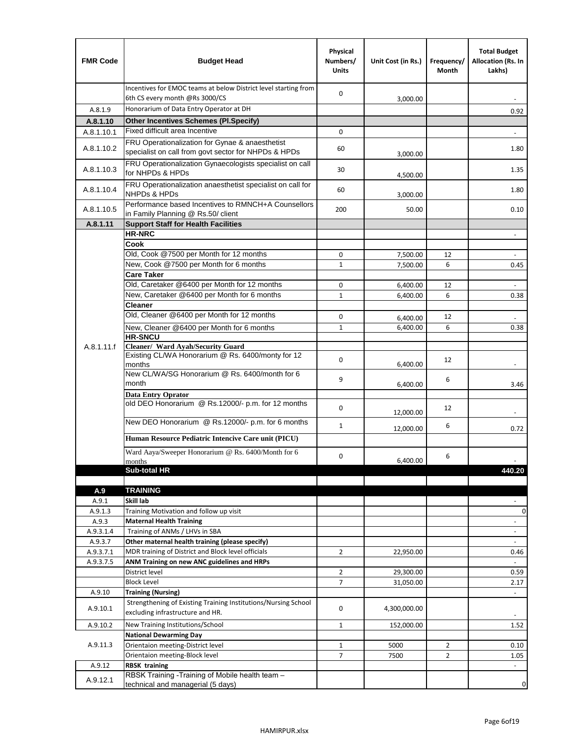| <b>FMR Code</b>    | <b>Budget Head</b>                                                                                      | Physical<br>Numbers/<br><b>Units</b> | Unit Cost (in Rs.) | Frequency/<br>Month | <b>Total Budget</b><br>Allocation (Rs. In<br>Lakhs) |
|--------------------|---------------------------------------------------------------------------------------------------------|--------------------------------------|--------------------|---------------------|-----------------------------------------------------|
|                    | Incentives for EMOC teams at below District level starting from<br>6th CS every month @Rs 3000/CS       | 0                                    | 3,000.00           |                     |                                                     |
| A.8.1.9            | Honorarium of Data Entry Operator at DH                                                                 |                                      |                    |                     | 0.92                                                |
| A.8.1.10           | <b>Other Incentives Schemes (Pl.Specify)</b>                                                            |                                      |                    |                     |                                                     |
| A.8.1.10.1         | Fixed difficult area Incentive                                                                          | 0                                    |                    |                     |                                                     |
| A.8.1.10.2         | FRU Operationalization for Gynae & anaesthetist<br>specialist on call from govt sector for NHPDs & HPDs | 60                                   | 3,000.00           |                     | 1.80                                                |
| A.8.1.10.3         | FRU Operationalization Gynaecologists specialist on call<br>for NHPDs & HPDs                            | 30                                   | 4,500.00           |                     | 1.35                                                |
| A.8.1.10.4         | FRU Operationalization anaesthetist specialist on call for<br>NHPDs & HPDs                              | 60                                   | 3,000.00           |                     | 1.80                                                |
| A.8.1.10.5         | Performance based Incentives to RMNCH+A Counsellors<br>in Family Planning @ Rs.50/ client               | 200                                  | 50.00              |                     | 0.10                                                |
| A.8.1.11           | <b>Support Staff for Health Facilities</b>                                                              |                                      |                    |                     |                                                     |
|                    | <b>HR-NRC</b>                                                                                           |                                      |                    |                     | $\overline{\phantom{m}}$                            |
|                    | Cook                                                                                                    |                                      |                    |                     |                                                     |
|                    | Old, Cook @7500 per Month for 12 months                                                                 | 0                                    | 7,500.00           | 12                  | $\blacksquare$                                      |
|                    | New, Cook @7500 per Month for 6 months<br><b>Care Taker</b>                                             | 1                                    | 7,500.00           | 6                   | 0.45                                                |
|                    | Old, Caretaker @6400 per Month for 12 months                                                            | 0                                    | 6,400.00           | 12                  |                                                     |
|                    | New, Caretaker @6400 per Month for 6 months                                                             | $\mathbf{1}$                         | 6,400.00           | 6                   | 0.38                                                |
|                    | <b>Cleaner</b>                                                                                          |                                      |                    |                     |                                                     |
|                    | Old, Cleaner @6400 per Month for 12 months                                                              | 0                                    | 6,400.00           | 12                  |                                                     |
|                    | New, Cleaner @6400 per Month for 6 months                                                               | 1                                    | 6,400.00           | 6                   | 0.38                                                |
|                    | <b>HR-SNCU</b>                                                                                          |                                      |                    |                     |                                                     |
| A.8.1.11.f         | Cleaner/ Ward Ayah/Security Guard                                                                       |                                      |                    |                     |                                                     |
|                    | Existing CL/WA Honorarium @ Rs. 6400/monty for 12<br>months                                             | 0                                    | 6,400.00           | 12                  |                                                     |
|                    | New CL/WA/SG Honorarium @ Rs. 6400/month for 6<br>month                                                 | 9                                    | 6,400.00           | 6                   | 3.46                                                |
|                    | <b>Data Entry Oprator</b><br>old DEO Honorarium @ Rs.12000/- p.m. for 12 months                         | $\mathbf 0$                          |                    | 12                  |                                                     |
|                    | New DEO Honorarium @ Rs.12000/- p.m. for 6 months                                                       |                                      | 12,000.00          |                     |                                                     |
|                    | Human Resource Pediatric Intencive Care unit (PICU)                                                     | $\mathbf{1}$                         | 12,000.00          | 6                   | 0.72                                                |
|                    | Ward Aaya/Sweeper Honorarium @ Rs. 6400/Month for 6                                                     |                                      |                    |                     |                                                     |
|                    | months                                                                                                  | $\Omega$                             | 6,400.00           | 6                   |                                                     |
|                    | Sub-total HR                                                                                            |                                      |                    |                     | 440.20                                              |
|                    |                                                                                                         |                                      |                    |                     |                                                     |
| A.9                | <b>TRAINING</b>                                                                                         |                                      |                    |                     |                                                     |
| A.9.1              | Skill lab                                                                                               |                                      |                    |                     |                                                     |
| A.9.1.3            | Training Motivation and follow up visit                                                                 |                                      |                    |                     | 0                                                   |
| A.9.3<br>A.9.3.1.4 | <b>Maternal Health Training</b><br>Training of ANMs / LHVs in SBA                                       |                                      |                    |                     | $\overline{\phantom{a}}$                            |
| A.9.3.7            | Other maternal health training (please specify)                                                         |                                      |                    |                     | $\frac{1}{2}$<br>$\overline{\phantom{a}}$           |
| A.9.3.7.1          | MDR training of District and Block level officials                                                      | $\overline{2}$                       | 22,950.00          |                     | 0.46                                                |
| A.9.3.7.5          | ANM Training on new ANC guidelines and HRPs                                                             |                                      |                    |                     | ÷.                                                  |
|                    | District level                                                                                          | $\overline{2}$                       | 29,300.00          |                     | 0.59                                                |
|                    | <b>Block Level</b>                                                                                      | 7                                    | 31,050.00          |                     | 2.17                                                |
| A.9.10             | <b>Training (Nursing)</b>                                                                               |                                      |                    |                     | $\overline{\phantom{a}}$                            |
| A.9.10.1           | Strengthening of Existing Training Institutions/Nursing School<br>excluding infrastructure and HR.      | 0                                    | 4,300,000.00       |                     |                                                     |
| A.9.10.2           | New Training Institutions/School                                                                        | 1                                    | 152,000.00         |                     | 1.52                                                |
|                    | <b>National Dewarming Day</b>                                                                           |                                      |                    |                     |                                                     |
| A.9.11.3           | Orientaion meeting-District level                                                                       | $\mathbf 1$                          | 5000               | $\overline{2}$      | 0.10                                                |
|                    | Orientaion meeting-Block level                                                                          | 7                                    | 7500               | $\overline{2}$      | 1.05                                                |
| A.9.12             | <b>RBSK training</b>                                                                                    |                                      |                    |                     | $\overline{\phantom{a}}$                            |
| A.9.12.1           | RBSK Training - Training of Mobile health team -<br>technical and managerial (5 days)                   |                                      |                    |                     | 0                                                   |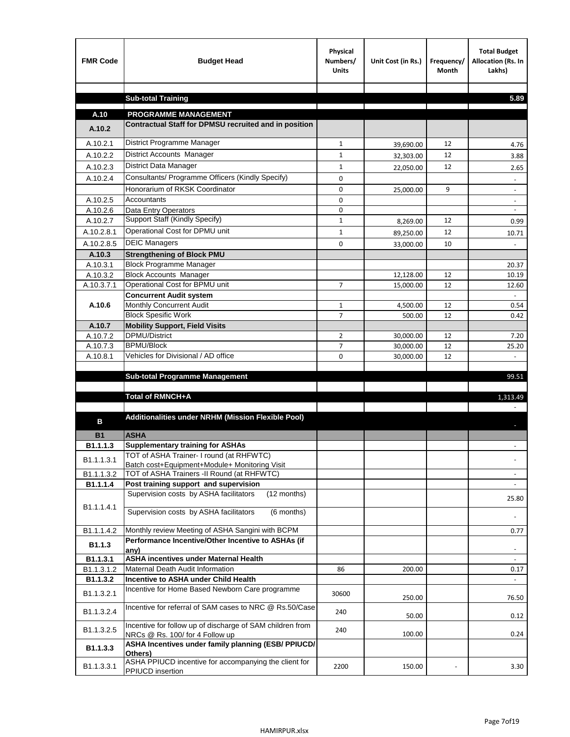| <b>FMR Code</b> | <b>Budget Head</b>                                                                           | Physical<br>Numbers/<br><b>Units</b> | Unit Cost (in Rs.) | Frequency/<br><b>Month</b> | <b>Total Budget</b><br>Allocation (Rs. In<br>Lakhs) |
|-----------------|----------------------------------------------------------------------------------------------|--------------------------------------|--------------------|----------------------------|-----------------------------------------------------|
|                 |                                                                                              |                                      |                    |                            |                                                     |
|                 | <b>Sub-total Training</b>                                                                    |                                      |                    |                            | 5.89                                                |
| A.10            | <b>PROGRAMME MANAGEMENT</b>                                                                  |                                      |                    |                            |                                                     |
| A.10.2          | Contractual Staff for DPMSU recruited and in position                                        |                                      |                    |                            |                                                     |
| A.10.2.1        | District Programme Manager                                                                   | $\mathbf{1}$                         | 39,690.00          | 12                         | 4.76                                                |
| A.10.2.2        | District Accounts Manager                                                                    | 1                                    | 32,303.00          | 12                         | 3.88                                                |
| A.10.2.3        | District Data Manager                                                                        | $\mathbf{1}$                         |                    | 12                         |                                                     |
| A.10.2.4        | Consultants/ Programme Officers (Kindly Specify)                                             | $\mathbf 0$                          | 22,050.00          |                            | 2.65                                                |
|                 | Honorarium of RKSK Coordinator                                                               | 0                                    | 25,000.00          | 9                          | $\overline{\phantom{a}}$                            |
| A.10.2.5        | Accountants                                                                                  | 0                                    |                    |                            |                                                     |
| A.10.2.6        | Data Entry Operators                                                                         | 0                                    |                    |                            | $\overline{\phantom{a}}$                            |
| A.10.2.7        | Support Staff (Kindly Specify)                                                               | $\mathbf{1}$                         | 8,269.00           | 12                         | 0.99                                                |
| A.10.2.8.1      | Operational Cost for DPMU unit                                                               | $\mathbf{1}$                         | 89,250.00          | 12                         | 10.71                                               |
| A.10.2.8.5      | <b>DEIC Managers</b>                                                                         | $\mathbf 0$                          | 33,000.00          | 10                         |                                                     |
| A.10.3          | <b>Strengthening of Block PMU</b>                                                            |                                      |                    |                            |                                                     |
| A.10.3.1        | <b>Block Programme Manager</b>                                                               |                                      |                    |                            | 20.37                                               |
| A.10.3.2        | <b>Block Accounts Manager</b>                                                                |                                      | 12,128.00          | 12                         | 10.19                                               |
| A.10.3.7.1      | Operational Cost for BPMU unit                                                               | 7                                    | 15,000.00          | 12                         | 12.60                                               |
| A.10.6          | <b>Concurrent Audit system</b><br>Monthly Concurrent Audit                                   | $\mathbf{1}$                         |                    | 12                         | 0.54                                                |
|                 | <b>Block Spesific Work</b>                                                                   | 7                                    | 4,500.00<br>500.00 | 12                         | 0.42                                                |
| A.10.7          | <b>Mobility Support, Field Visits</b>                                                        |                                      |                    |                            |                                                     |
| A.10.7.2        | DPMU/District                                                                                | $\overline{2}$                       | 30,000.00          | 12                         | 7.20                                                |
| A.10.7.3        | <b>BPMU/Block</b>                                                                            | 7                                    | 30,000.00          | 12                         | 25.20                                               |
| A.10.8.1        | Vehicles for Divisional / AD office                                                          | 0                                    | 30,000.00          | 12                         | $\omega$                                            |
|                 |                                                                                              |                                      |                    |                            |                                                     |
|                 | <b>Sub-total Programme Management</b>                                                        |                                      |                    |                            | 99.51                                               |
|                 | Total of RMNCH+A                                                                             |                                      |                    |                            | 1,313.49                                            |
|                 |                                                                                              |                                      |                    |                            |                                                     |
| в               | Additionalities under NRHM (Mission Flexible Pool)                                           |                                      |                    |                            |                                                     |
|                 |                                                                                              |                                      |                    |                            |                                                     |
| <b>B1</b>       | <b>ASHA</b>                                                                                  |                                      |                    |                            |                                                     |
| B1.1.1.3        | <b>Supplementary training for ASHAs</b><br>TOT of ASHA Trainer- I round (at RHFWTC)          |                                      |                    |                            |                                                     |
| B1.1.1.3.1      | Batch cost+Equipment+Module+ Monitoring Visit                                                |                                      |                    |                            |                                                     |
| B1.1.1.3.2      | TOT of ASHA Trainers -II Round (at RHFWTC)                                                   |                                      |                    |                            |                                                     |
| B1.1.1.4        | Post training support and supervision                                                        |                                      |                    |                            | $\omega$                                            |
|                 | Supervision costs by ASHA facilitators<br>(12 months)                                        |                                      |                    |                            | 25.80                                               |
| B1.1.1.4.1      | Supervision costs by ASHA facilitators<br>(6 months)                                         |                                      |                    |                            |                                                     |
|                 |                                                                                              |                                      |                    |                            |                                                     |
| B1.1.1.4.2      | Monthly review Meeting of ASHA Sangini with BCPM                                             |                                      |                    |                            | 0.77                                                |
| B1.1.3          | Performance Incentive/Other Incentive to ASHAs (if                                           |                                      |                    |                            |                                                     |
| B1.1.3.1        | any)<br><b>ASHA incentives under Maternal Health</b>                                         |                                      |                    |                            |                                                     |
| B1.1.3.1.2      | Maternal Death Audit Information                                                             | 86                                   | 200.00             |                            | 0.17                                                |
| B1.1.3.2        | Incentive to ASHA under Child Health                                                         |                                      |                    |                            | ÷.                                                  |
| B1.1.3.2.1      | Incentive for Home Based Newborn Care programme                                              | 30600                                | 250.00             |                            | 76.50                                               |
| B1.1.3.2.4      | Incentive for referral of SAM cases to NRC @ Rs.50/Case                                      | 240                                  | 50.00              |                            | 0.12                                                |
| B1.1.3.2.5      | Incentive for follow up of discharge of SAM children from<br>NRCs @ Rs. 100/ for 4 Follow up | 240                                  | 100.00             |                            | 0.24                                                |
| B1.1.3.3        | ASHA Incentives under family planning (ESB/ PPIUCD/<br>Others)                               |                                      |                    |                            |                                                     |
| B1.1.3.3.1      | ASHA PPIUCD incentive for accompanying the client for<br>PPIUCD insertion                    | 2200                                 | 150.00             |                            | 3.30                                                |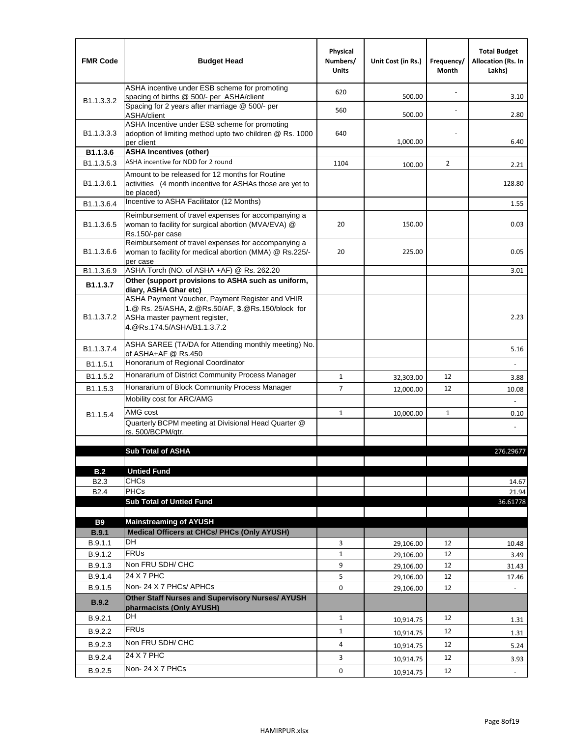| <b>FMR Code</b>            | <b>Budget Head</b>                                                                                                                                                    | Physical<br>Numbers/<br><b>Units</b> | Unit Cost (in Rs.) | Frequency/<br>Month | <b>Total Budget</b><br><b>Allocation (Rs. In</b><br>Lakhs) |
|----------------------------|-----------------------------------------------------------------------------------------------------------------------------------------------------------------------|--------------------------------------|--------------------|---------------------|------------------------------------------------------------|
|                            | ASHA incentive under ESB scheme for promoting<br>spacing of births @ 500/- per ASHA/client                                                                            | 620                                  | 500.00             |                     | 3.10                                                       |
| B <sub>1.1</sub> , 3, 3, 2 | Spacing for 2 years after marriage @ 500/- per<br>ASHA/client                                                                                                         | 560                                  | 500.00             |                     | 2.80                                                       |
| B1.1.3.3.3                 | ASHA Incentive under ESB scheme for promoting<br>adoption of limiting method upto two children @ Rs. 1000<br>per client                                               | 640                                  | 1,000.00           |                     | 6.40                                                       |
| B1.1.3.6                   | <b>ASHA Incentives (other)</b>                                                                                                                                        |                                      |                    |                     |                                                            |
| B <sub>1.1</sub> , 3, 5, 3 | ASHA incentive for NDD for 2 round                                                                                                                                    | 1104                                 | 100.00             | $\overline{2}$      | 2.21                                                       |
| B <sub>1.1</sub> .3.6.1    | Amount to be released for 12 months for Routine<br>activities (4 month incentive for ASHAs those are yet to<br>be placed)                                             |                                      |                    |                     | 128.80                                                     |
| B1.1.3.6.4                 | Incentive to ASHA Facilitator (12 Months)                                                                                                                             |                                      |                    |                     | 1.55                                                       |
| B <sub>1.1</sub> .3.6.5    | Reimbursement of travel expenses for accompanying a<br>woman to facility for surgical abortion (MVA/EVA) @<br>Rs.150/-per case                                        | 20                                   | 150.00             |                     | 0.03                                                       |
| B <sub>1.1</sub> .3.6.6    | Reimbursement of travel expenses for accompanying a<br>woman to facility for medical abortion (MMA) @ Rs.225/-<br>per case                                            | 20                                   | 225.00             |                     | 0.05                                                       |
| B1.1.3.6.9                 | ASHA Torch (NO. of ASHA +AF) @ Rs. 262.20                                                                                                                             |                                      |                    |                     | 3.01                                                       |
| B1.1.3.7                   | Other (support provisions to ASHA such as uniform,<br>diary, ASHA Ghar etc)                                                                                           |                                      |                    |                     |                                                            |
| B <sub>1.1</sub> .3.7.2    | ASHA Payment Voucher, Payment Register and VHIR<br>1.@ Rs. 25/ASHA, 2.@Rs.50/AF, 3.@Rs.150/block for<br>ASHa master payment register,<br>4. @Rs.174.5/ASHA/B1.1.3.7.2 |                                      |                    |                     | 2.23                                                       |
| B <sub>1.1</sub> , 3.7.4   | ASHA SAREE (TA/DA for Attending monthly meeting) No.<br>of ASHA+AF @ Rs.450                                                                                           |                                      |                    |                     | 5.16                                                       |
| B1.1.5.1                   | Honorarium of Regional Coordinator                                                                                                                                    |                                      |                    |                     |                                                            |
| B1.1.5.2                   | Honararium of District Community Process Manager                                                                                                                      | $\mathbf{1}$                         | 32,303.00          | 12                  | 3.88                                                       |
| B1.1.5.3                   | Honararium of Block Community Process Manager                                                                                                                         | $\overline{7}$                       | 12,000.00          | 12                  | 10.08                                                      |
|                            | Mobility cost for ARC/AMG                                                                                                                                             |                                      |                    |                     |                                                            |
| B <sub>1.1.5.4</sub>       | AMG cost                                                                                                                                                              | $\mathbf{1}$                         | 10,000.00          | $\mathbf{1}$        | 0.10                                                       |
|                            | Quarterly BCPM meeting at Divisional Head Quarter @                                                                                                                   |                                      |                    |                     |                                                            |
|                            | rs. 500/BCPM/atr.                                                                                                                                                     |                                      |                    |                     |                                                            |
|                            | <b>Sub Total of ASHA</b>                                                                                                                                              |                                      |                    |                     | 276.29677                                                  |
|                            |                                                                                                                                                                       |                                      |                    |                     |                                                            |
| B.2                        | <b>Untied Fund</b>                                                                                                                                                    |                                      |                    |                     |                                                            |
| B <sub>2.3</sub>           | <b>CHCs</b>                                                                                                                                                           |                                      |                    |                     | 14.67                                                      |
| B <sub>2.4</sub>           | <b>PHCs</b>                                                                                                                                                           |                                      |                    |                     | 21.94                                                      |
|                            | <b>Sub Total of Untied Fund</b>                                                                                                                                       |                                      |                    |                     | 36.61778                                                   |
| <b>B9</b>                  | <b>Mainstreaming of AYUSH</b>                                                                                                                                         |                                      |                    |                     |                                                            |
| B.9.1                      | Medical Officers at CHCs/ PHCs (Only AYUSH)                                                                                                                           |                                      |                    |                     |                                                            |
| B.9.1.1                    | <b>DH</b>                                                                                                                                                             | 3                                    | 29,106.00          | 12                  | 10.48                                                      |
| B.9.1.2                    | <b>FRUs</b>                                                                                                                                                           | $\mathbf{1}$                         | 29,106.00          | 12                  | 3.49                                                       |
| B.9.1.3                    | Non FRU SDH/ CHC                                                                                                                                                      | 9                                    | 29,106.00          | 12                  | 31.43                                                      |
| B.9.1.4                    | 24 X 7 PHC                                                                                                                                                            | 5                                    | 29,106.00          | 12                  | 17.46                                                      |
| B.9.1.5                    | Non-24 X 7 PHCs/ APHCs                                                                                                                                                | 0                                    | 29,106.00          | 12                  |                                                            |
| <b>B.9.2</b>               | Other Staff Nurses and Supervisory Nurses/ AYUSH<br>pharmacists (Only AYUSH)                                                                                          |                                      |                    |                     |                                                            |
| B.9.2.1                    | DH                                                                                                                                                                    | $\mathbf{1}$                         | 10,914.75          | 12                  | 1.31                                                       |
| B.9.2.2                    | <b>FRUs</b>                                                                                                                                                           | $\mathbf{1}$                         | 10,914.75          | 12                  | 1.31                                                       |
| B.9.2.3                    | Non FRU SDH/ CHC                                                                                                                                                      | 4                                    | 10,914.75          | 12                  | 5.24                                                       |
| B.9.2.4                    | 24 X 7 PHC                                                                                                                                                            | 3                                    | 10,914.75          | 12                  | 3.93                                                       |
| B.9.2.5                    | Non-24 X 7 PHCs                                                                                                                                                       | 0                                    | 10,914.75          | 12                  | $\overline{\phantom{a}}$                                   |
|                            |                                                                                                                                                                       |                                      |                    |                     |                                                            |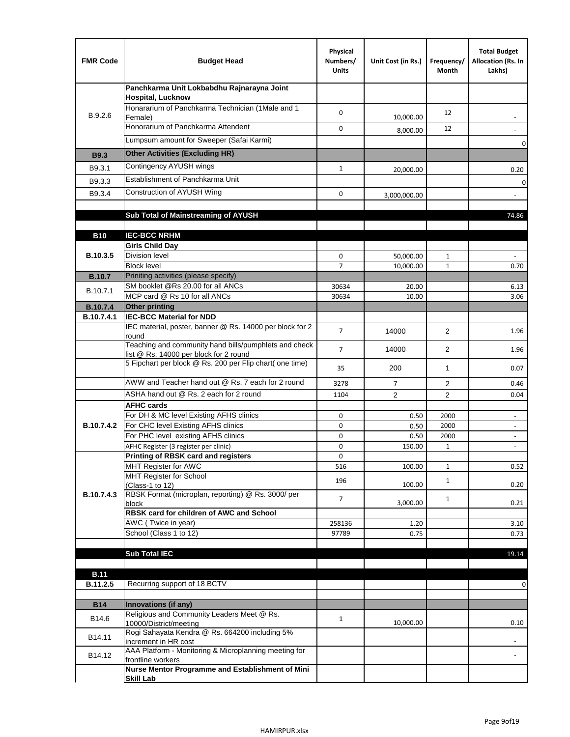| <b>FMR Code</b>   | <b>Budget Head</b>                                                                              | Physical<br>Numbers/<br><b>Units</b> | Unit Cost (in Rs.) | Frequency/<br>Month | <b>Total Budget</b><br>Allocation (Rs. In<br>Lakhs)  |
|-------------------|-------------------------------------------------------------------------------------------------|--------------------------------------|--------------------|---------------------|------------------------------------------------------|
|                   | Panchkarma Unit Lokbabdhu Rajnarayna Joint<br><b>Hospital, Lucknow</b>                          |                                      |                    |                     |                                                      |
| B.9.2.6           | Honararium of Panchkarma Technician (1Male and 1<br>Female)                                     | 0                                    | 10,000.00          | 12                  |                                                      |
|                   | Honorarium of Panchkarma Attendent                                                              | $\mathbf 0$                          | 8,000.00           | 12                  |                                                      |
|                   | Lumpsum amount for Sweeper (Safai Karmi)                                                        |                                      |                    |                     | 0                                                    |
| <b>B9.3</b>       | <b>Other Activities (Excluding HR)</b>                                                          |                                      |                    |                     |                                                      |
| B9.3.1            | Contingency AYUSH wings                                                                         | $\mathbf{1}$                         | 20,000.00          |                     | 0.20                                                 |
| B9.3.3            | Establishment of Panchkarma Unit                                                                |                                      |                    |                     | $\mathbf 0$                                          |
| B9.3.4            | Construction of AYUSH Wing                                                                      | 0                                    | 3,000,000.00       |                     |                                                      |
|                   |                                                                                                 |                                      |                    |                     |                                                      |
|                   | Sub Total of Mainstreaming of AYUSH                                                             |                                      |                    |                     | 74.86                                                |
| <b>B10</b>        | <b>IEC-BCC NRHM</b>                                                                             |                                      |                    |                     |                                                      |
|                   | <b>Girls Child Day</b>                                                                          |                                      |                    |                     |                                                      |
| B.10.3.5          | <b>Division level</b>                                                                           | 0                                    | 50,000.00          | 1                   |                                                      |
|                   | <b>Block level</b>                                                                              | $\overline{7}$                       | 10,000.00          | $\mathbf{1}$        | 0.70                                                 |
| <b>B.10.7</b>     | Priniting activities (please specify)<br>SM booklet @Rs 20.00 for all ANCs                      |                                      |                    |                     |                                                      |
| B.10.7.1          | MCP card @ Rs 10 for all ANCs                                                                   | 30634<br>30634                       | 20.00<br>10.00     |                     | 6.13<br>3.06                                         |
| <b>B.10.7.4</b>   | <b>Other printing</b>                                                                           |                                      |                    |                     |                                                      |
| B.10.7.4.1        | <b>IEC-BCC Material for NDD</b>                                                                 |                                      |                    |                     |                                                      |
|                   | IEC material, poster, banner @ Rs. 14000 per block for 2<br>round                               | $\overline{7}$                       | 14000              | $\overline{2}$      | 1.96                                                 |
|                   | Teaching and community hand bills/pumphlets and check<br>list @ Rs. 14000 per block for 2 round | $\overline{7}$                       | 14000              | $\overline{2}$      | 1.96                                                 |
|                   | 5 Fipchart per block @ Rs. 200 per Flip chart( one time)                                        | 35                                   | 200                | $\mathbf{1}$        | 0.07                                                 |
|                   | AWW and Teacher hand out @ Rs. 7 each for 2 round                                               | 3278                                 | $\overline{7}$     | 2                   | 0.46                                                 |
|                   | ASHA hand out @ Rs. 2 each for 2 round                                                          | 1104                                 | $\overline{2}$     | 2                   | 0.04                                                 |
|                   | <b>AFHC cards</b>                                                                               |                                      |                    |                     |                                                      |
| <b>B.10.7.4.2</b> | For DH & MC level Existing AFHS clinics<br>For CHC level Existing AFHS clinics                  | 0<br>0                               | 0.50<br>0.50       | 2000<br>2000        | $\overline{\phantom{a}}$<br>$\overline{\phantom{a}}$ |
|                   | For PHC level existing AFHS clinics                                                             | 0                                    | 0.50               | 2000                | $\bar{\phantom{a}}$                                  |
|                   | AFHC Register (3 register per clinic)                                                           | 0                                    | 150.00             | $\mathbf{1}$        | $\blacksquare$                                       |
|                   | Printing of RBSK card and registers                                                             | 0                                    |                    |                     |                                                      |
|                   | MHT Register for AWC                                                                            | 516                                  | 100.00             | $\mathbf{1}$        | 0.52                                                 |
|                   | MHT Register for School<br>(Class-1 to 12)                                                      | 196                                  | 100.00             | $\mathbf{1}$        | 0.20                                                 |
| B.10.7.4.3        | RBSK Format (microplan, reporting) @ Rs. 3000/ per                                              | 7                                    |                    | $\mathbf{1}$        |                                                      |
|                   | block<br>RBSK card for children of AWC and School                                               |                                      | 3,000.00           |                     | 0.21                                                 |
|                   | AWC (Twice in year)                                                                             | 258136                               | 1.20               |                     | 3.10                                                 |
|                   | School (Class 1 to 12)                                                                          | 97789                                | 0.75               |                     | 0.73                                                 |
|                   |                                                                                                 |                                      |                    |                     |                                                      |
|                   | <b>Sub Total IEC</b>                                                                            |                                      |                    |                     | 19.14                                                |
| <b>B.11</b>       |                                                                                                 |                                      |                    |                     |                                                      |
| B.11.2.5          | Recurring support of 18 BCTV                                                                    |                                      |                    |                     | 0                                                    |
|                   |                                                                                                 |                                      |                    |                     |                                                      |
| <b>B14</b>        | Innovations (if any)<br>Religious and Community Leaders Meet @ Rs.                              |                                      |                    |                     |                                                      |
| B14.6             | 10000/District/meeting                                                                          | $\mathbf{1}$                         | 10,000.00          |                     | 0.10                                                 |
| B14.11            | Rogi Sahayata Kendra @ Rs. 664200 including 5%<br>increment in HR cost                          |                                      |                    |                     |                                                      |
| B14.12            | AAA Platform - Monitoring & Microplanning meeting for<br>frontline workers                      |                                      |                    |                     |                                                      |
|                   | Nurse Mentor Programme and Establishment of Mini                                                |                                      |                    |                     |                                                      |
|                   | <b>Skill Lab</b>                                                                                |                                      |                    |                     |                                                      |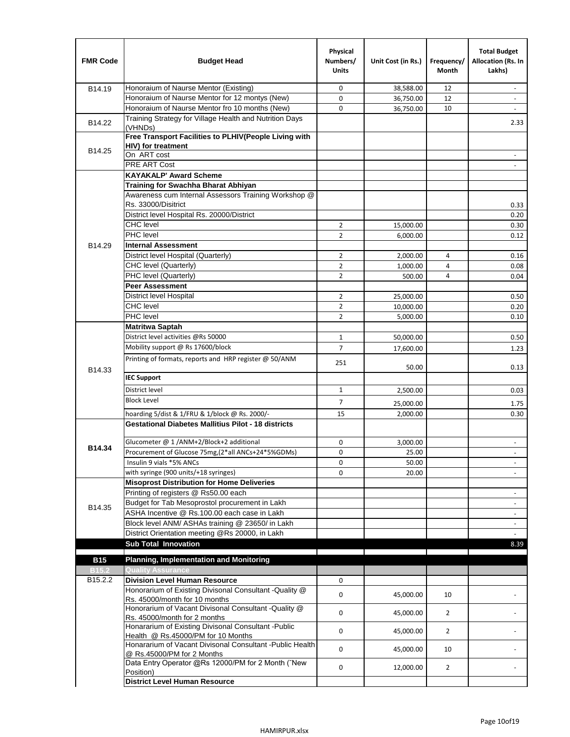| <b>FMR Code</b>              | <b>Budget Head</b>                                                                         | Physical<br>Numbers/<br><b>Units</b> | Unit Cost (in Rs.) | Frequency/<br><b>Month</b> | <b>Total Budget</b><br>Allocation (Rs. In<br>Lakhs) |
|------------------------------|--------------------------------------------------------------------------------------------|--------------------------------------|--------------------|----------------------------|-----------------------------------------------------|
| B14.19                       | Honoraium of Naurse Mentor (Existing)                                                      | 0                                    | 38,588.00          | 12                         | $\sim$                                              |
|                              | Honoraium of Naurse Mentor for 12 montys (New)                                             | 0                                    | 36,750.00          | 12                         |                                                     |
|                              | Honoraium of Naurse Mentor fro 10 months (New)                                             | 0                                    | 36,750.00          | 10                         |                                                     |
| B14.22                       | Training Strategy for Village Health and Nutrition Days<br>(VHNDs)                         |                                      |                    |                            | 2.33                                                |
|                              | Free Transport Facilities to PLHIV(People Living with                                      |                                      |                    |                            |                                                     |
| B14.25                       | <b>HIV)</b> for treatment                                                                  |                                      |                    |                            |                                                     |
|                              | On ART cost                                                                                |                                      |                    |                            |                                                     |
|                              | PRE ART Cost                                                                               |                                      |                    |                            |                                                     |
|                              | <b>KAYAKALP' Award Scheme</b>                                                              |                                      |                    |                            |                                                     |
|                              | Training for Swachha Bharat Abhiyan                                                        |                                      |                    |                            |                                                     |
|                              | Awareness cum Internal Assessors Training Workshop @<br>Rs. 33000/Disitrict                |                                      |                    |                            |                                                     |
|                              | District level Hospital Rs. 20000/District                                                 |                                      |                    |                            | 0.33<br>0.20                                        |
|                              | <b>CHC</b> level                                                                           | $\overline{2}$                       | 15,000.00          |                            | 0.30                                                |
|                              | <b>PHC</b> level                                                                           | $\overline{2}$                       | 6,000.00           |                            | 0.12                                                |
| B14.29                       | <b>Internal Assessment</b>                                                                 |                                      |                    |                            |                                                     |
|                              | District level Hospital (Quarterly)                                                        | $\overline{2}$                       | 2,000.00           | 4                          | 0.16                                                |
|                              | CHC level (Quarterly)                                                                      | $\overline{2}$                       | 1,000.00           | 4                          | 0.08                                                |
|                              | PHC level (Quarterly)                                                                      | $\overline{2}$                       | 500.00             | 4                          | 0.04                                                |
|                              | <b>Peer Assessment</b>                                                                     |                                      |                    |                            |                                                     |
|                              | <b>District level Hospital</b>                                                             | $\overline{2}$                       | 25.000.00          |                            | 0.50                                                |
|                              | <b>CHC</b> level                                                                           | $\overline{2}$                       | 10,000.00          |                            | 0.20                                                |
|                              | PHC level                                                                                  | $\overline{2}$                       | 5,000.00           |                            | 0.10                                                |
|                              | Matritwa Saptah                                                                            |                                      |                    |                            |                                                     |
|                              | District level activities @Rs 50000                                                        | $\mathbf{1}$                         | 50,000.00          |                            | 0.50                                                |
|                              | Mobility support @ Rs 17600/block                                                          | $\overline{7}$                       |                    |                            |                                                     |
|                              | Printing of formats, reports and HRP register @ 50/ANM                                     |                                      | 17,600.00          |                            | 1.23                                                |
| B14.33                       |                                                                                            | 251                                  | 50.00              |                            | 0.13                                                |
|                              | <b>IEC Support</b>                                                                         |                                      |                    |                            |                                                     |
|                              | District level                                                                             | 1                                    | 2,500.00           |                            | 0.03                                                |
|                              | <b>Block Level</b>                                                                         | 7                                    | 25,000.00          |                            | 1.75                                                |
|                              | hoarding 5/dist & 1/FRU & 1/block @ Rs. 2000/-                                             | 15                                   | 2,000.00           |                            | 0.30                                                |
|                              | <b>Gestational Diabetes Mallitius Pilot - 18 districts</b>                                 |                                      |                    |                            |                                                     |
|                              | Glucometer @ 1 /ANM+2/Block+2 additional                                                   | 0                                    | 3,000.00           |                            | $\overline{\phantom{a}}$                            |
| B14.34                       | Procurement of Glucose 75mg, (2*all ANCs+24*5%GDMs)                                        | 0                                    | 25.00              |                            |                                                     |
|                              | Insulin 9 vials *5% ANCs                                                                   | 0                                    | 50.00              |                            | $\blacksquare$                                      |
|                              | with syringe (900 units/+18 syringes)                                                      | 0                                    | 20.00              |                            |                                                     |
|                              | <b>Misoprost Distribution for Home Deliveries</b>                                          |                                      |                    |                            |                                                     |
|                              | Printing of registers @ Rs50.00 each                                                       |                                      |                    |                            | $\overline{\phantom{a}}$                            |
|                              | Budget for Tab Mesoprostol procurement in Lakh                                             |                                      |                    |                            | $\blacksquare$                                      |
| B14.35                       | ASHA Incentive @ Rs.100.00 each case in Lakh                                               |                                      |                    |                            | $\overline{\phantom{a}}$                            |
|                              | Block level ANM/ ASHAs training @ 23650/ in Lakh                                           |                                      |                    |                            | $\overline{\phantom{a}}$                            |
|                              | District Orientation meeting @Rs 20000, in Lakh                                            |                                      |                    |                            |                                                     |
|                              | <b>Sub Total Innovation</b>                                                                |                                      |                    |                            | 8.39                                                |
|                              |                                                                                            |                                      |                    |                            |                                                     |
| <b>B15</b>                   | <b>Planning, Implementation and Monitoring</b><br><b>Quality Assurance</b>                 |                                      |                    |                            |                                                     |
| B <sub>15.2</sub><br>B15.2.2 | <b>Division Level Human Resource</b>                                                       | 0                                    |                    |                            |                                                     |
|                              | Honorarium of Existing Divisonal Consultant -Quality @                                     |                                      |                    |                            |                                                     |
|                              | Rs. 45000/month for 10 months                                                              | 0                                    | 45,000.00          | 10                         |                                                     |
|                              | Honorarium of Vacant Divisonal Consultant -Quality @<br>Rs. 45000/month for 2 months       | 0                                    | 45,000.00          | $\overline{2}$             |                                                     |
|                              | Honararium of Existing Divisonal Consultant - Public<br>Health @ Rs.45000/PM for 10 Months | 0                                    | 45,000.00          | $\overline{2}$             |                                                     |
|                              | Honararium of Vacant Divisonal Consultant - Public Health<br>@ Rs.45000/PM for 2 Months    | 0                                    | 45,000.00          | 10                         |                                                     |
|                              | Data Entry Operator @Rs 12000/PM for 2 Month ("New<br>Position)                            | 0                                    | 12,000.00          | $\overline{2}$             |                                                     |
|                              | <b>District Level Human Resource</b>                                                       |                                      |                    |                            |                                                     |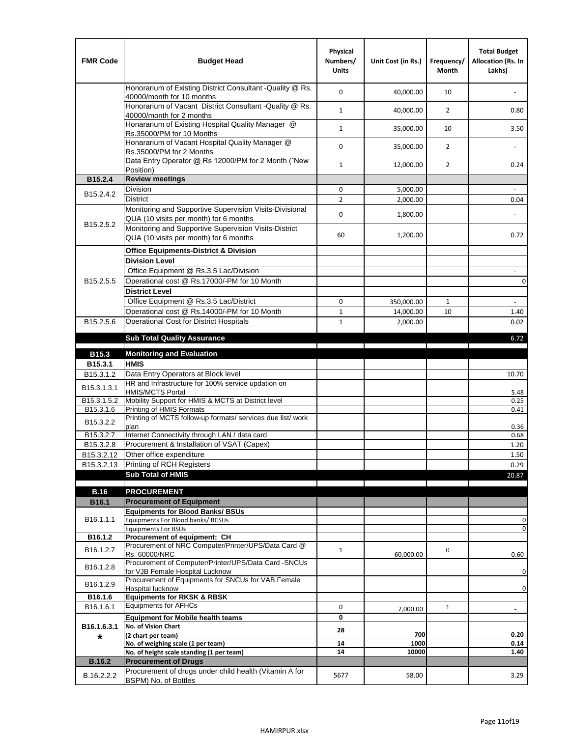| <b>FMR Code</b>         | <b>Budget Head</b>                                                                                | Physical<br>Numbers/<br><b>Units</b> | Unit Cost (in Rs.) | Frequency/<br><b>Month</b> | <b>Total Budget</b><br>Allocation (Rs. In<br>Lakhs) |
|-------------------------|---------------------------------------------------------------------------------------------------|--------------------------------------|--------------------|----------------------------|-----------------------------------------------------|
|                         | Honorarium of Existing District Consultant -Quality @ Rs.<br>40000/month for 10 months            | $\mathbf 0$                          | 40,000.00          | 10                         |                                                     |
|                         | Honorarium of Vacant District Consultant -Quality @ Rs.<br>40000/month for 2 months               | $\mathbf{1}$                         | 40,000.00          | $\overline{2}$             | 0.80                                                |
|                         | Honararium of Existing Hospital Quality Manager @<br>Rs.35000/PM for 10 Months                    | $\mathbf{1}$                         | 35,000.00          | 10                         | 3.50                                                |
|                         | Honararium of Vacant Hospital Quality Manager @<br>Rs.35000/PM for 2 Months                       | $\mathbf 0$                          | 35,000.00          | $\overline{2}$             |                                                     |
|                         | Data Entry Operator @ Rs 12000/PM for 2 Month ("New<br>Position)                                  | $\mathbf{1}$                         | 12,000.00          | $\overline{2}$             | 0.24                                                |
| B15.2.4                 | <b>Review meetings</b>                                                                            |                                      |                    |                            |                                                     |
| B <sub>15.2</sub> .4.2  | Division                                                                                          | 0                                    | 5,000.00           |                            |                                                     |
|                         | <b>District</b>                                                                                   | $\overline{2}$                       | 2,000.00           |                            | 0.04                                                |
|                         | Monitoring and Supportive Supervision Visits-Divisional<br>QUA (10 visits per month) for 6 months | $\mathbf 0$                          | 1,800.00           |                            |                                                     |
| B15.2.5.2               | Monitoring and Supportive Supervision Visits-District<br>QUA (10 visits per month) for 6 months   | 60                                   | 1,200.00           |                            | 0.72                                                |
|                         | <b>Office Equipments-District &amp; Division</b>                                                  |                                      |                    |                            |                                                     |
|                         | <b>Division Level</b>                                                                             |                                      |                    |                            |                                                     |
|                         | Office Equipment @ Rs.3.5 Lac/Division                                                            |                                      |                    |                            | $\sim$                                              |
| B15.2.5.5               | Operational cost @ Rs.17000/-PM for 10 Month                                                      |                                      |                    |                            | $\pmb{0}$                                           |
|                         | <b>District Level</b>                                                                             |                                      |                    |                            |                                                     |
|                         | Office Equipment @ Rs.3.5 Lac/District                                                            | 0                                    | 350,000.00         | $\mathbf{1}$               | $\blacksquare$                                      |
|                         | Operational cost @ Rs.14000/-PM for 10 Month                                                      | $1\,$                                | 14,000.00          | 10                         | 1.40                                                |
| B15.2.5.6               | <b>Operational Cost for District Hospitals</b>                                                    | $\mathbf{1}$                         | 2,000.00           |                            | 0.02                                                |
|                         | <b>Sub Total Quality Assurance</b>                                                                |                                      |                    |                            | 6.72                                                |
|                         |                                                                                                   |                                      |                    |                            |                                                     |
| B15.3                   | <b>Monitoring and Evaluation</b><br><b>HMIS</b>                                                   |                                      |                    |                            |                                                     |
| B15.3.1<br>B15.3.1.2    | Data Entry Operators at Block level                                                               |                                      |                    |                            | 10.70                                               |
| B15.3.1.3.1             | HR and Infrastructure for 100% service updation on<br><b>HMIS/MCTS Portal</b>                     |                                      |                    |                            | 5.48                                                |
| B <sub>15.3.1.5.2</sub> | Mobility Support for HMIS & MCTS at District level                                                |                                      |                    |                            | 0.25                                                |
| B15.3.1.6               | Printing of HMIS Formats                                                                          |                                      |                    |                            | 0.41                                                |
| B15.3.2.2               | Printing of MCTS follow-up formats/ services due list/ work<br>plan                               |                                      |                    |                            | 0.36                                                |
| B15.3.2.7               | Internet Connectivity through LAN / data card                                                     |                                      |                    |                            | 0.68                                                |
| B15.3.2.8               | Procurement & Installation of VSAT (Capex)                                                        |                                      |                    |                            | 1.20                                                |
| B15.3.2.12              | Other office expenditure                                                                          |                                      |                    |                            | 1.50                                                |
| B15.3.2.13              | Printing of RCH Registers                                                                         |                                      |                    |                            | 0.29                                                |
|                         | <b>Sub Total of HMIS</b>                                                                          |                                      |                    |                            | 20.87                                               |
| <b>B.16</b>             | <b>PROCUREMENT</b>                                                                                |                                      |                    |                            |                                                     |
| B16.1                   | <b>Procurement of Equipment</b>                                                                   |                                      |                    |                            |                                                     |
|                         | <b>Equipments for Blood Banks/ BSUs</b>                                                           |                                      |                    |                            |                                                     |
| B16.1.1.1               | Equipments For Blood banks/ BCSUs                                                                 |                                      |                    |                            | 0                                                   |
|                         | <b>Equipments For BSUs</b>                                                                        |                                      |                    |                            | 0                                                   |
| B16.1.2                 | Procurement of equipment: CH<br>Procurement of NRC Computer/Printer/UPS/Data Card @               |                                      |                    |                            |                                                     |
| B16.1.2.7               | Rs. 60000/NRC                                                                                     | $\mathbf{1}$                         | 60,000.00          | 0                          | 0.60                                                |
| B16.1.2.8               | Procurement of Computer/Printer/UPS/Data Card -SNCUs                                              |                                      |                    |                            |                                                     |
|                         | for VJB Female Hospital Lucknow                                                                   |                                      |                    |                            | 0                                                   |
| B16.1.2.9               | Procurement of Equipments for SNCUs for VAB Female<br>Hospital lucknow                            |                                      |                    |                            | $\mathbf 0$                                         |
| B16.1.6                 | <b>Equipments for RKSK &amp; RBSK</b>                                                             |                                      |                    |                            |                                                     |
| B16.1.6.1               | <b>Equipments for AFHCs</b>                                                                       | 0                                    | 7,000.00           | $\mathbf{1}$               | ÷,                                                  |
|                         | <b>Equipment for Mobile health teams</b>                                                          | 0                                    |                    |                            |                                                     |
| B16.1.6.3.1             | No. of Vision Chart                                                                               | 28                                   |                    |                            |                                                     |
| *                       | (2 chart per team)                                                                                |                                      | 700                |                            | 0.20                                                |
|                         | No. of weighing scale (1 per team)<br>No. of height scale standing (1 per team)                   | ${\bf 14}$<br>14                     | 1000<br>10000      |                            | 0.14<br>1.40                                        |
| <b>B.16.2</b>           | <b>Procurement of Drugs</b>                                                                       |                                      |                    |                            |                                                     |
|                         | Procurement of drugs under child health (Vitamin A for                                            |                                      |                    |                            |                                                     |
| B.16.2.2.2              | BSPM) No. of Bottles                                                                              | 5677                                 | 58.00              |                            | 3.29                                                |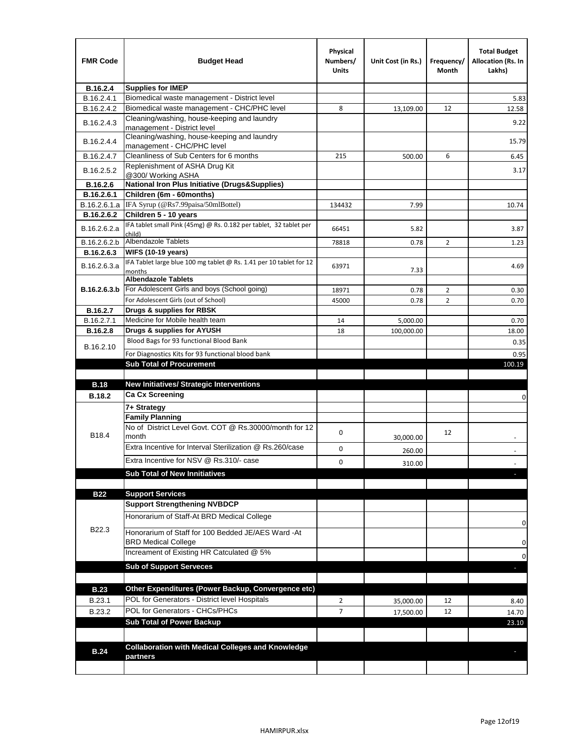| <b>FMR Code</b>  | <b>Budget Head</b>                                                            | Physical<br>Numbers/<br><b>Units</b> | Unit Cost (in Rs.) | Frequency/<br>Month | <b>Total Budget</b><br><b>Allocation (Rs. In</b><br>Lakhs) |
|------------------|-------------------------------------------------------------------------------|--------------------------------------|--------------------|---------------------|------------------------------------------------------------|
| B.16.2.4         | <b>Supplies for IMEP</b>                                                      |                                      |                    |                     |                                                            |
| B.16.2.4.1       | Biomedical waste management - District level                                  |                                      |                    |                     | 5.83                                                       |
| B.16.2.4.2       | Biomedical waste management - CHC/PHC level                                   | 8                                    | 13,109.00          | 12                  | 12.58                                                      |
| B.16.2.4.3       | Cleaning/washing, house-keeping and laundry<br>management - District level    |                                      |                    |                     | 9.22                                                       |
| B.16.2.4.4       | Cleaning/washing, house-keeping and laundry<br>management - CHC/PHC level     |                                      |                    |                     | 15.79                                                      |
| B.16.2.4.7       | Cleanliness of Sub Centers for 6 months                                       | 215                                  | 500.00             | 6                   | 6.45                                                       |
| B.16.2.5.2       | Replenishment of ASHA Drug Kit<br>@300/ Working ASHA                          |                                      |                    |                     | 3.17                                                       |
| B.16.2.6         | <b>National Iron Plus Initiative (Drugs&amp;Supplies)</b>                     |                                      |                    |                     |                                                            |
| B.16.2.6.1       | Children (6m - 60months)                                                      |                                      |                    |                     |                                                            |
| B.16.2.6.1.a     | IFA Syrup (@Rs7.99paisa/50mlBottel)                                           | 134432                               | 7.99               |                     | 10.74                                                      |
| B.16.2.6.2       | Children 5 - 10 years                                                         |                                      |                    |                     |                                                            |
| B.16.2.6.2.a     | IFA tablet small Pink (45mg) @ Rs. 0.182 per tablet, 32 tablet per<br>child)  | 66451                                | 5.82               |                     | 3.87                                                       |
| B.16.2.6.2.b     | <b>Albendazole Tablets</b>                                                    | 78818                                | 0.78               | 2                   | 1.23                                                       |
| B.16.2.6.3       | <b>WIFS (10-19 years)</b>                                                     |                                      |                    |                     |                                                            |
| B.16.2.6.3.a     | IFA Tablet large blue 100 mg tablet @ Rs. 1.41 per 10 tablet for 12<br>months | 63971                                | 7.33               |                     | 4.69                                                       |
|                  | <b>Albendazole Tablets</b>                                                    |                                      |                    |                     |                                                            |
| B.16.2.6.3.b     | For Adolescent Girls and boys (School going)                                  | 18971                                | 0.78               | $\overline{2}$      | 0.30                                                       |
|                  | For Adolescent Girls (out of School)                                          | 45000                                | 0.78               | $\overline{2}$      | 0.70                                                       |
| B.16.2.7         | Drugs & supplies for RBSK                                                     |                                      |                    |                     |                                                            |
| B.16.2.7.1       | Medicine for Mobile health team                                               | 14                                   | 5,000.00           |                     | 0.70                                                       |
| <b>B.16.2.8</b>  | Drugs & supplies for AYUSH                                                    | 18                                   | 100,000.00         |                     | 18.00                                                      |
| B.16.2.10        | Blood Bags for 93 functional Blood Bank                                       |                                      |                    |                     | 0.35                                                       |
|                  | For Diagnostics Kits for 93 functional blood bank                             |                                      |                    |                     | 0.95                                                       |
|                  | <b>Sub Total of Procurement</b>                                               |                                      |                    |                     | 100.19                                                     |
|                  |                                                                               |                                      |                    |                     |                                                            |
| <b>B.18</b>      | <b>New Initiatives/ Strategic Interventions</b>                               |                                      |                    |                     |                                                            |
| <b>B.18.2</b>    | <b>Ca Cx Screening</b>                                                        |                                      |                    |                     | 0                                                          |
|                  | 7+ Strategy                                                                   |                                      |                    |                     |                                                            |
|                  | <b>Family Planning</b>                                                        |                                      |                    |                     |                                                            |
| B18.4            | No of District Level Govt. COT @ Rs.30000/month for 12<br>month               | 0                                    | 30,000.00          | 12                  |                                                            |
|                  | Extra Incentive for Interval Sterilization @ Rs.260/case                      | 0                                    | 260.00             |                     |                                                            |
|                  | Extra Incentive for NSV @ Rs.310/- case                                       | 0                                    |                    |                     |                                                            |
|                  |                                                                               |                                      | 310.00             |                     |                                                            |
|                  | <b>Sub Total of New Innitiatives</b>                                          |                                      |                    |                     |                                                            |
| <b>B22</b>       | <b>Support Services</b>                                                       |                                      |                    |                     |                                                            |
|                  | <b>Support Strengthening NVBDCP</b>                                           |                                      |                    |                     |                                                            |
|                  | Honorarium of Staff-At BRD Medical College                                    |                                      |                    |                     |                                                            |
| B22.3            | Honorarium of Staff for 100 Bedded JE/AES Ward -At                            |                                      |                    |                     | 0                                                          |
|                  | <b>BRD Medical College</b><br>Increament of Existing HR Catculated @ 5%       |                                      |                    |                     | 0<br>0                                                     |
|                  | <b>Sub of Support Serveces</b>                                                |                                      |                    |                     |                                                            |
|                  |                                                                               |                                      |                    |                     |                                                            |
| <b>B.23</b>      | Other Expenditures (Power Backup, Convergence etc)                            |                                      |                    |                     |                                                            |
|                  | POL for Generators - District level Hospitals                                 |                                      |                    |                     |                                                            |
| B.23.1<br>B.23.2 | POL for Generators - CHCs/PHCs                                                | $\overline{2}$<br>$\overline{7}$     | 35,000.00          | 12                  | 8.40                                                       |
|                  | <b>Sub Total of Power Backup</b>                                              |                                      | 17,500.00          | 12                  | 14.70<br>23.10                                             |
|                  |                                                                               |                                      |                    |                     |                                                            |
|                  | <b>Collaboration with Medical Colleges and Knowledge</b>                      |                                      |                    |                     |                                                            |
| <b>B.24</b>      | partners                                                                      |                                      |                    |                     |                                                            |
|                  |                                                                               |                                      |                    |                     |                                                            |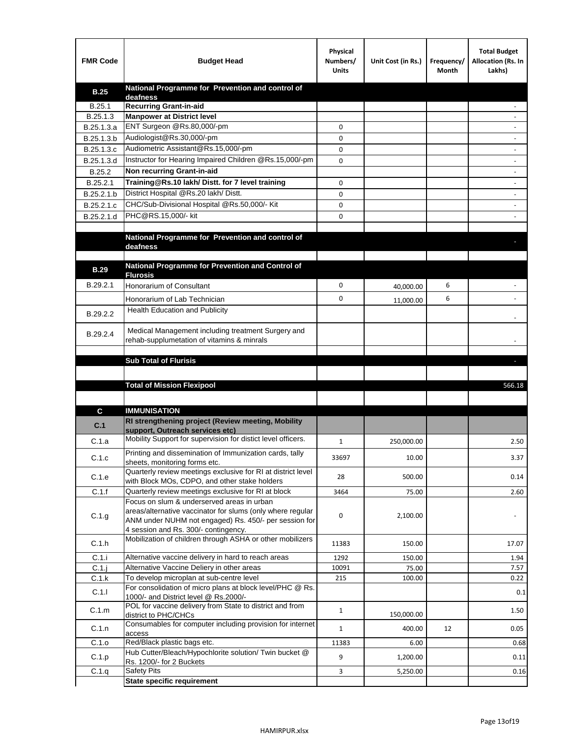| <b>FMR Code</b> | <b>Budget Head</b>                                                                                | Physical<br>Numbers/<br><b>Units</b> | Unit Cost (in Rs.) | Frequency/<br>Month | <b>Total Budget</b><br>Allocation (Rs. In<br>Lakhs) |
|-----------------|---------------------------------------------------------------------------------------------------|--------------------------------------|--------------------|---------------------|-----------------------------------------------------|
| <b>B.25</b>     | National Programme for Prevention and control of                                                  |                                      |                    |                     |                                                     |
| B.25.1          | deafness<br><b>Recurring Grant-in-aid</b>                                                         |                                      |                    |                     |                                                     |
| B.25.1.3        | <b>Manpower at District level</b>                                                                 |                                      |                    |                     |                                                     |
| B.25.1.3.a      | ENT Surgeon @Rs.80,000/-pm                                                                        | 0                                    |                    |                     |                                                     |
| B.25.1.3.b      | Audiologist@Rs.30,000/-pm                                                                         | 0                                    |                    |                     |                                                     |
| B.25.1.3.c      | Audiometric Assistant@Rs.15,000/-pm                                                               | 0                                    |                    |                     |                                                     |
| B.25.1.3.d      | Instructor for Hearing Impaired Children @Rs.15,000/-pm                                           | 0                                    |                    |                     |                                                     |
| B.25.2          | Non recurring Grant-in-aid                                                                        |                                      |                    |                     |                                                     |
| B.25.2.1        | Training@Rs.10 lakh/ Distt. for 7 level training                                                  | 0                                    |                    |                     |                                                     |
| B.25.2.1.b      | District Hospital @Rs.20 lakh/Distt.                                                              | 0                                    |                    |                     |                                                     |
| B.25.2.1.c      | CHC/Sub-Divisional Hospital @Rs.50,000/- Kit                                                      | 0                                    |                    |                     |                                                     |
| B.25.2.1.d      | PHC@RS.15,000/- kit                                                                               | 0                                    |                    |                     |                                                     |
|                 |                                                                                                   |                                      |                    |                     |                                                     |
|                 | National Programme for Prevention and control of                                                  |                                      |                    |                     |                                                     |
|                 | deafness                                                                                          |                                      |                    |                     |                                                     |
|                 | National Programme for Prevention and Control of                                                  |                                      |                    |                     |                                                     |
| <b>B.29</b>     | <b>Flurosis</b>                                                                                   |                                      |                    |                     |                                                     |
| B.29.2.1        | Honorarium of Consultant                                                                          | 0                                    | 40,000.00          | 6                   |                                                     |
|                 | Honorarium of Lab Technician                                                                      | 0                                    | 11,000.00          | 6                   |                                                     |
| B.29.2.2        | <b>Health Education and Publicity</b>                                                             |                                      |                    |                     |                                                     |
|                 |                                                                                                   |                                      |                    |                     |                                                     |
| B.29.2.4        | Medical Management including treatment Surgery and                                                |                                      |                    |                     |                                                     |
|                 | rehab-supplumetation of vitamins & minrals                                                        |                                      |                    |                     |                                                     |
|                 | <b>Sub Total of Flurisis</b>                                                                      |                                      |                    |                     | ь                                                   |
|                 |                                                                                                   |                                      |                    |                     |                                                     |
|                 | <b>Total of Mission Flexipool</b>                                                                 |                                      |                    |                     | 566.18                                              |
|                 |                                                                                                   |                                      |                    |                     |                                                     |
|                 |                                                                                                   |                                      |                    |                     |                                                     |
| C               | <b>IMMUNISATION</b><br>RI strengthening project (Review meeting, Mobility                         |                                      |                    |                     |                                                     |
| C.1             | support, Outreach services etc)                                                                   |                                      |                    |                     |                                                     |
| C.1.a           | Mobility Support for supervision for distict level officers.                                      | 1                                    | 250,000.00         |                     | 2.50                                                |
|                 | Printing and dissemination of Immunization cards, tally                                           |                                      |                    |                     |                                                     |
| C.1.c           | sheets, monitoring forms etc.                                                                     | 33697                                | 10.00              |                     | 3.37                                                |
| C.1.e           | Quarterly review meetings exclusive for RI at district level                                      | 28                                   | 500.00             |                     | 0.14                                                |
|                 | with Block MOs, CDPO, and other stake holders                                                     |                                      |                    |                     |                                                     |
| C.1.f           | Quarterly review meetings exclusive for RI at block<br>Focus on slum & underserved areas in urban | 3464                                 | 75.00              |                     | 2.60                                                |
|                 | areas/alternative vaccinator for slums (only where regular                                        |                                      |                    |                     |                                                     |
| C.1.g           | ANM under NUHM not engaged) Rs. 450/- per session for                                             | 0                                    | 2,100.00           |                     |                                                     |
|                 | 4 session and Rs. 300/- contingency.                                                              |                                      |                    |                     |                                                     |
| C.1.h           | Mobilization of children through ASHA or other mobilizers                                         | 11383                                | 150.00             |                     | 17.07                                               |
| C.1.i           | Alternative vaccine delivery in hard to reach areas                                               | 1292                                 | 150.00             |                     | 1.94                                                |
| $C.1$ .j        | Alternative Vaccine Deliery in other areas                                                        | 10091                                | 75.00              |                     | 7.57                                                |
| C.1.k           | To develop microplan at sub-centre level                                                          | 215                                  | 100.00             |                     | 0.22                                                |
| C.1.1           | For consolidation of micro plans at block level/PHC @ Rs.                                         |                                      |                    |                     | 0.1                                                 |
|                 |                                                                                                   |                                      |                    |                     |                                                     |
|                 | 1000/- and District level @ Rs.2000/-                                                             |                                      |                    |                     |                                                     |
| C.1.m           | POL for vaccine delivery from State to district and from                                          | $\mathbf{1}$                         | 150,000.00         |                     | 1.50                                                |
|                 | district to PHC/CHCs<br>Consumables for computer including provision for internet                 |                                      |                    |                     |                                                     |
| C.1.n           | access                                                                                            | $\mathbf{1}$                         | 400.00             | 12                  | 0.05                                                |
| C.1.o           | Red/Black plastic bags etc.                                                                       | 11383                                | 6.00               |                     | 0.68                                                |
| C.1.p           | Hub Cutter/Bleach/Hypochlorite solution/ Twin bucket @<br>Rs. 1200/- for 2 Buckets                | 9                                    | 1,200.00           |                     | 0.11                                                |
| C.1.q           | <b>Safety Pits</b><br><b>State specific requirement</b>                                           | 3                                    | 5,250.00           |                     | 0.16                                                |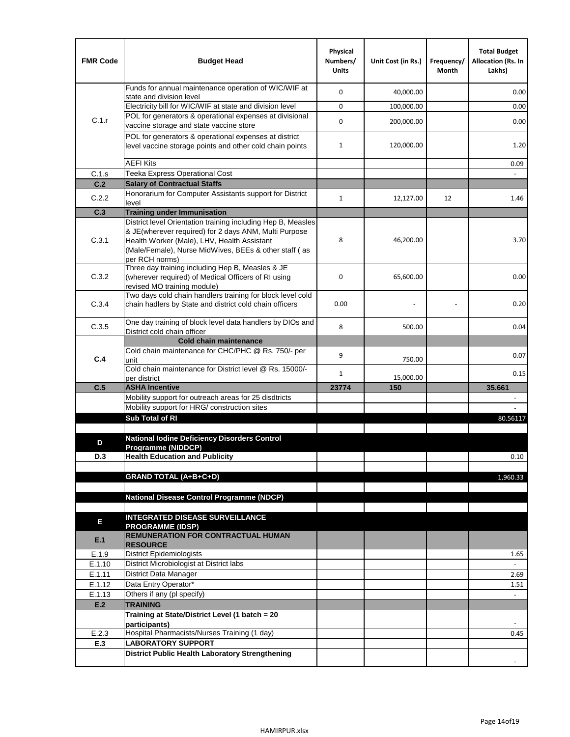| <b>FMR Code</b> | <b>Budget Head</b>                                                                                                                                                              | Physical<br>Numbers/<br><b>Units</b> | Unit Cost (in Rs.) | Frequency/<br>Month | <b>Total Budget</b><br>Allocation (Rs. In<br>Lakhs) |
|-----------------|---------------------------------------------------------------------------------------------------------------------------------------------------------------------------------|--------------------------------------|--------------------|---------------------|-----------------------------------------------------|
|                 | Funds for annual maintenance operation of WIC/WIF at<br>state and division level                                                                                                | 0                                    | 40,000.00          |                     | 0.00                                                |
|                 | Electricity bill for WIC/WIF at state and division level                                                                                                                        | 0                                    | 100,000.00         |                     | 0.00                                                |
| C.1.r           | POL for generators & operational expenses at divisional                                                                                                                         |                                      |                    |                     |                                                     |
|                 | vaccine storage and state vaccine store                                                                                                                                         | 0                                    | 200,000.00         |                     | 0.00                                                |
|                 | POL for generators & operational expenses at district<br>level vaccine storage points and other cold chain points                                                               | $\mathbf{1}$                         | 120,000.00         |                     | 1.20                                                |
|                 | <b>AEFI Kits</b>                                                                                                                                                                |                                      |                    |                     | 0.09                                                |
| C.1.s           | Teeka Express Operational Cost                                                                                                                                                  |                                      |                    |                     |                                                     |
| C.2             | <b>Salary of Contractual Staffs</b>                                                                                                                                             |                                      |                    |                     |                                                     |
| C.2.2           | Honorarium for Computer Assistants support for District                                                                                                                         | $\mathbf{1}$                         | 12,127.00          | 12                  | 1.46                                                |
| C.3             | level<br><b>Training under Immunisation</b>                                                                                                                                     |                                      |                    |                     |                                                     |
|                 | District level Orientation training including Hep B, Measles                                                                                                                    |                                      |                    |                     |                                                     |
| C.3.1           | & JE(wherever required) for 2 days ANM, Multi Purpose<br>Health Worker (Male), LHV, Health Assistant<br>(Male/Female), Nurse MidWives, BEEs & other staff (as<br>per RCH norms) | 8                                    | 46,200.00          |                     | 3.70                                                |
| C.3.2           | Three day training including Hep B, Measles & JE<br>(wherever required) of Medical Officers of RI using<br>revised MO training module)                                          | 0                                    | 65,600.00          |                     | 0.00                                                |
| C.3.4           | Two days cold chain handlers training for block level cold<br>chain hadlers by State and district cold chain officers                                                           | 0.00                                 |                    |                     | 0.20                                                |
| C.3.5           | One day training of block level data handlers by DIOs and<br>District cold chain officer                                                                                        | 8                                    | 500.00             |                     | 0.04                                                |
|                 | <b>Cold chain maintenance</b>                                                                                                                                                   |                                      |                    |                     |                                                     |
|                 | Cold chain maintenance for CHC/PHC @ Rs. 750/- per                                                                                                                              | 9                                    |                    |                     | 0.07                                                |
| C.4             | unit                                                                                                                                                                            |                                      | 750.00             |                     |                                                     |
|                 | Cold chain maintenance for District level @ Rs. 15000/-<br>per district                                                                                                         | 1                                    | 15,000.00          |                     | 0.15                                                |
| C.5             | <b>ASHA Incentive</b>                                                                                                                                                           | 23774                                | 150                |                     | 35.661                                              |
|                 | Mobility support for outreach areas for 25 disdtricts                                                                                                                           |                                      |                    |                     |                                                     |
|                 | Mobility support for HRG/ construction sites                                                                                                                                    |                                      |                    |                     |                                                     |
|                 | Sub Total of RI                                                                                                                                                                 |                                      |                    |                     | 80.56117                                            |
|                 |                                                                                                                                                                                 |                                      |                    |                     |                                                     |
| D               | <b>National lodine Deficiency Disorders Control</b><br>Programme (NIDDCP)                                                                                                       |                                      |                    |                     |                                                     |
| D.3             | <b>Health Education and Publicity</b>                                                                                                                                           |                                      |                    |                     | 0.10                                                |
|                 |                                                                                                                                                                                 |                                      |                    |                     |                                                     |
|                 | <b>GRAND TOTAL (A+B+C+D)</b>                                                                                                                                                    |                                      |                    |                     | 1,960.33                                            |
|                 |                                                                                                                                                                                 |                                      |                    |                     |                                                     |
|                 | National Disease Control Programme (NDCP)                                                                                                                                       |                                      |                    |                     |                                                     |
|                 | <b>INTEGRATED DISEASE SURVEILLANCE</b>                                                                                                                                          |                                      |                    |                     |                                                     |
| Е               | <b>PROGRAMME (IDSP)</b>                                                                                                                                                         |                                      |                    |                     |                                                     |
| E.1             | <b>REMUNERATION FOR CONTRACTUAL HUMAN</b><br><b>RESOURCE</b>                                                                                                                    |                                      |                    |                     |                                                     |
| E.1.9           | District Epidemiologists                                                                                                                                                        |                                      |                    |                     | 1.65                                                |
| E.1.10          | District Microbiologist at District labs                                                                                                                                        |                                      |                    |                     |                                                     |
| E.1.11          | District Data Manager                                                                                                                                                           |                                      |                    |                     | 2.69                                                |
| E.1.12          | Data Entry Operator*                                                                                                                                                            |                                      |                    |                     | 1.51                                                |
| E.1.13<br>E.2   | Others if any (pl specify)<br><b>TRAINING</b>                                                                                                                                   |                                      |                    |                     | $\omega$                                            |
|                 | Training at State/District Level (1 batch = 20                                                                                                                                  |                                      |                    |                     |                                                     |
|                 | participants)                                                                                                                                                                   |                                      |                    |                     |                                                     |
| E.2.3           | Hospital Pharmacists/Nurses Training (1 day)                                                                                                                                    |                                      |                    |                     | 0.45                                                |
| E.3             | <b>LABORATORY SUPPORT</b>                                                                                                                                                       |                                      |                    |                     |                                                     |
|                 | <b>District Public Health Laboratory Strengthening</b>                                                                                                                          |                                      |                    |                     |                                                     |
|                 |                                                                                                                                                                                 |                                      |                    |                     |                                                     |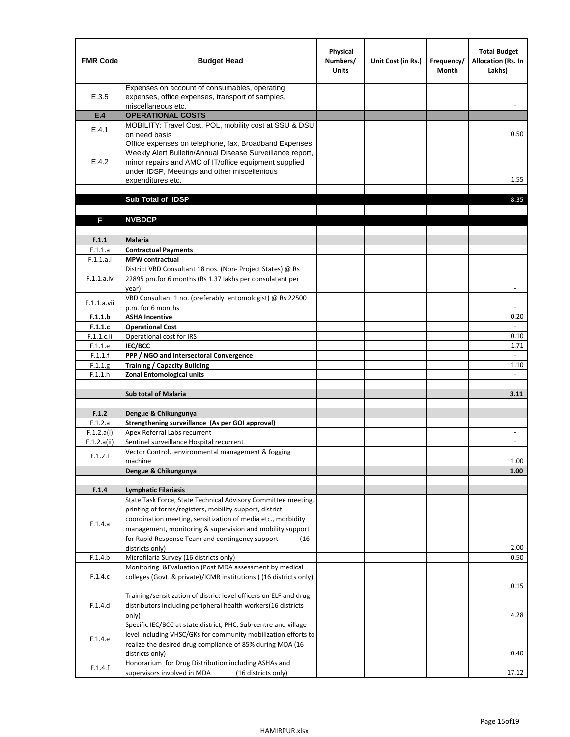| <b>FMR Code</b>       | <b>Budget Head</b>                                                                                                                                                                      | Physical<br>Numbers/<br><b>Units</b> | Unit Cost (in Rs.) | Frequency/<br><b>Month</b> | <b>Total Budget</b><br>Allocation (Rs. In<br>Lakhs) |
|-----------------------|-----------------------------------------------------------------------------------------------------------------------------------------------------------------------------------------|--------------------------------------|--------------------|----------------------------|-----------------------------------------------------|
| E.3.5                 | Expenses on account of consumables, operating<br>expenses, office expenses, transport of samples,<br>miscellaneous etc.                                                                 |                                      |                    |                            |                                                     |
| E.4                   | <b>OPERATIONAL COSTS</b>                                                                                                                                                                |                                      |                    |                            |                                                     |
| E.4.1                 | MOBILITY: Travel Cost, POL, mobility cost at SSU & DSU                                                                                                                                  |                                      |                    |                            |                                                     |
|                       | on need basis<br>Office expenses on telephone, fax, Broadband Expenses,                                                                                                                 |                                      |                    |                            | 0.50                                                |
| E.4.2                 | Weekly Alert Bulletin/Annual Disease Surveillance report,<br>minor repairs and AMC of IT/office equipment supplied<br>under IDSP, Meetings and other miscellenious<br>expenditures etc. |                                      |                    |                            | 1.55                                                |
|                       | Sub Total of IDSP                                                                                                                                                                       |                                      |                    |                            | 8.35                                                |
|                       |                                                                                                                                                                                         |                                      |                    |                            |                                                     |
| F                     | <b>NVBDCP</b>                                                                                                                                                                           |                                      |                    |                            |                                                     |
| F.1.1                 | Malaria                                                                                                                                                                                 |                                      |                    |                            |                                                     |
| F.1.1.a               | <b>Contractual Payments</b>                                                                                                                                                             |                                      |                    |                            |                                                     |
| F.1.1.a.i             | <b>MPW</b> contractual                                                                                                                                                                  |                                      |                    |                            |                                                     |
| F.1.1.a.iv            | District VBD Consultant 18 nos. (Non-Project States) @ Rs<br>22895 pm.for 6 months (Rs 1.37 lakhs per consulatant per<br>year)                                                          |                                      |                    |                            | $\blacksquare$                                      |
| F.1.1.a.vii           | VBD Consultant 1 no. (preferably entomologist) @ Rs 22500                                                                                                                               |                                      |                    |                            |                                                     |
|                       | p.m. for 6 months<br><b>ASHA Incentive</b>                                                                                                                                              |                                      |                    |                            |                                                     |
| F.1.1.b<br>F.1.1.c    | <b>Operational Cost</b>                                                                                                                                                                 |                                      |                    |                            | 0.20<br>$\blacksquare$                              |
| F.1.1.c.ii            | Operational cost for IRS                                                                                                                                                                |                                      |                    |                            | 0.10                                                |
| F.1.1.e               | IEC/BCC                                                                                                                                                                                 |                                      |                    |                            | 1.71                                                |
| F.1.1.f               | PPP / NGO and Intersectoral Convergence                                                                                                                                                 |                                      |                    |                            | $\omega$                                            |
| F.1.1.g               | <b>Training / Capacity Building</b>                                                                                                                                                     |                                      |                    |                            | 1.10                                                |
| F.1.1.h               | <b>Zonal Entomological units</b>                                                                                                                                                        |                                      |                    |                            |                                                     |
|                       | <b>Sub total of Malaria</b>                                                                                                                                                             |                                      |                    |                            | 3.11                                                |
|                       |                                                                                                                                                                                         |                                      |                    |                            |                                                     |
| F.1.2                 | Dengue & Chikungunya                                                                                                                                                                    |                                      |                    |                            |                                                     |
| F.1.2.a<br>F.1.2.a(i) | Strengthening surveillance (As per GOI approval)<br>Apex Referral Labs recurrent                                                                                                        |                                      |                    |                            | $\overline{\phantom{a}}$                            |
| F.1.2.a(ii)           | Sentinel surveillance Hospital recurrent                                                                                                                                                |                                      |                    |                            |                                                     |
| F.1.2.f               | Vector Control, environmental management & fogging                                                                                                                                      |                                      |                    |                            |                                                     |
|                       | machine                                                                                                                                                                                 |                                      |                    |                            | 1.00                                                |
|                       | Dengue & Chikungunya                                                                                                                                                                    |                                      |                    |                            | 1.00                                                |
|                       | <b>Lymphatic Filariasis</b>                                                                                                                                                             |                                      |                    |                            |                                                     |
| F.1.4                 | State Task Force, State Technical Advisory Committee meeting,                                                                                                                           |                                      |                    |                            |                                                     |
|                       | printing of forms/registers, mobility support, district                                                                                                                                 |                                      |                    |                            |                                                     |
| F.1.4.a               | coordination meeting, sensitization of media etc., morbidity                                                                                                                            |                                      |                    |                            |                                                     |
|                       | management, monitoring & supervision and mobility support                                                                                                                               |                                      |                    |                            |                                                     |
|                       | for Rapid Response Team and contingency support<br>(16)                                                                                                                                 |                                      |                    |                            |                                                     |
|                       | districts only)                                                                                                                                                                         |                                      |                    |                            | 2.00<br>0.50                                        |
| F.1.4.b               | Microfilaria Survey (16 districts only)<br>Monitoring & Evaluation (Post MDA assessment by medical                                                                                      |                                      |                    |                            |                                                     |
| F.1.4.c               | colleges (Govt. & private)/ICMR institutions ) (16 districts only)                                                                                                                      |                                      |                    |                            | 0.15                                                |
|                       | Training/sensitization of district level officers on ELF and drug                                                                                                                       |                                      |                    |                            |                                                     |
| F.1.4.d               | distributors including peripheral health workers(16 districts                                                                                                                           |                                      |                    |                            |                                                     |
|                       | only)                                                                                                                                                                                   |                                      |                    |                            | 4.28                                                |
|                       | Specific IEC/BCC at state, district, PHC, Sub-centre and village<br>level including VHSC/GKs for community mobilization efforts to                                                      |                                      |                    |                            |                                                     |
| F.1.4.e               | realize the desired drug compliance of 85% during MDA (16                                                                                                                               |                                      |                    |                            |                                                     |
|                       | districts only)                                                                                                                                                                         |                                      |                    |                            | 0.40                                                |
| F.1.4.f               | Honorarium for Drug Distribution including ASHAs and                                                                                                                                    |                                      |                    |                            |                                                     |
|                       | supervisors involved in MDA<br>(16 districts only)                                                                                                                                      |                                      |                    |                            | 17.12                                               |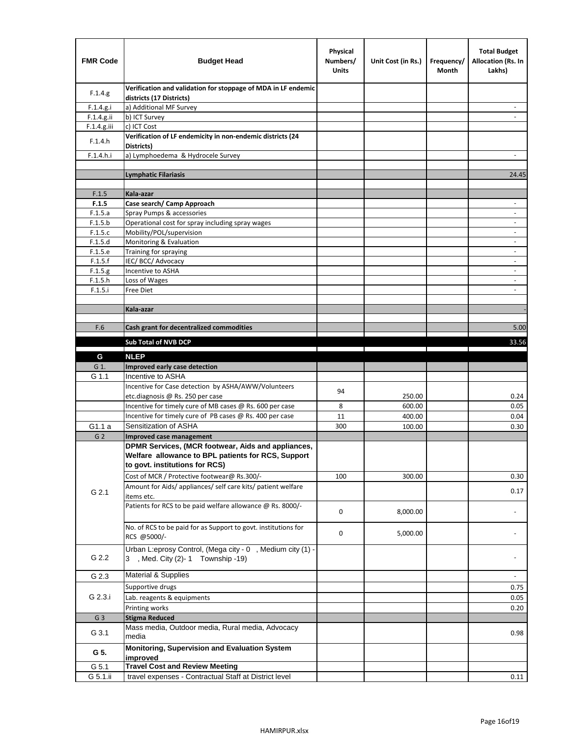| <b>FMR Code</b> | <b>Budget Head</b>                                                                                                                         | Physical<br>Numbers/<br><b>Units</b> | Unit Cost (in Rs.) | Frequency/<br>Month | <b>Total Budget</b><br>Allocation (Rs. In<br>Lakhs) |
|-----------------|--------------------------------------------------------------------------------------------------------------------------------------------|--------------------------------------|--------------------|---------------------|-----------------------------------------------------|
| F.1.4.g.        | Verification and validation for stoppage of MDA in LF endemic<br>districts (17 Districts)                                                  |                                      |                    |                     |                                                     |
| F.1.4.g.i       | a) Additional MF Survey                                                                                                                    |                                      |                    |                     |                                                     |
| F.1.4.g.ii      | b) ICT Survey                                                                                                                              |                                      |                    |                     |                                                     |
| $F.1.4.g.$ iii  | c) ICT Cost                                                                                                                                |                                      |                    |                     |                                                     |
| F.1.4.h         | Verification of LF endemicity in non-endemic districts (24<br>Districts)                                                                   |                                      |                    |                     |                                                     |
| F.1.4.h.i       | a) Lymphoedema & Hydrocele Survey                                                                                                          |                                      |                    |                     |                                                     |
|                 | <b>Lymphatic Filariasis</b>                                                                                                                |                                      |                    |                     | 24.45                                               |
|                 |                                                                                                                                            |                                      |                    |                     |                                                     |
| F.1.5           | Kala-azar                                                                                                                                  |                                      |                    |                     |                                                     |
| F.1.5           | Case search/ Camp Approach                                                                                                                 |                                      |                    |                     | $\overline{\phantom{a}}$                            |
| F.1.5.a         | Spray Pumps & accessories                                                                                                                  |                                      |                    |                     |                                                     |
| F.1.5.b         | Operational cost for spray including spray wages                                                                                           |                                      |                    |                     |                                                     |
| F.1.5.c         | Mobility/POL/supervision                                                                                                                   |                                      |                    |                     | $\blacksquare$                                      |
| F.1.5.d         | Monitoring & Evaluation                                                                                                                    |                                      |                    |                     |                                                     |
| F.1.5.e         | Training for spraying                                                                                                                      |                                      |                    |                     | $\overline{\phantom{a}}$                            |
| F.1.5.f         | IEC/BCC/Advocacy                                                                                                                           |                                      |                    |                     |                                                     |
| F.1.5.g         | Incentive to ASHA                                                                                                                          |                                      |                    |                     | $\overline{\phantom{a}}$                            |
| F.1.5.h         | Loss of Wages                                                                                                                              |                                      |                    |                     | $\overline{\phantom{a}}$                            |
| F.1.5.i         | Free Diet                                                                                                                                  |                                      |                    |                     |                                                     |
|                 | Kala-azar                                                                                                                                  |                                      |                    |                     |                                                     |
|                 |                                                                                                                                            |                                      |                    |                     |                                                     |
| F.6             | Cash grant for decentralized commodities                                                                                                   |                                      |                    |                     | 5.00                                                |
|                 |                                                                                                                                            |                                      |                    |                     |                                                     |
|                 | <b>Sub Total of NVB DCP</b>                                                                                                                |                                      |                    |                     | 33.56                                               |
| G               | <b>NLEP</b>                                                                                                                                |                                      |                    |                     |                                                     |
| G 1.            | Improved early case detection                                                                                                              |                                      |                    |                     |                                                     |
| G 1.1           | Incentive to ASHA                                                                                                                          |                                      |                    |                     |                                                     |
|                 | Incentive for Case detection by ASHA/AWW/Volunteers                                                                                        | 94                                   |                    |                     |                                                     |
|                 | etc.diagnosis @ Rs. 250 per case                                                                                                           |                                      | 250.00             |                     | 0.24                                                |
|                 | Incentive for timely cure of MB cases @ Rs. 600 per case                                                                                   | 8                                    | 600.00             |                     | 0.05                                                |
|                 | Incentive for timely cure of PB cases @ Rs. 400 per case                                                                                   | 11                                   | 400.00             |                     | 0.04                                                |
| G1.1 a          | Sensitization of ASHA                                                                                                                      | 300                                  | 100.00             |                     | 0.30                                                |
| G <sub>2</sub>  | Improved case management                                                                                                                   |                                      |                    |                     |                                                     |
|                 | DPMR Services, (MCR footwear, Aids and appliances,<br>Welfare allowance to BPL patients for RCS, Support<br>to govt. institutions for RCS) |                                      |                    |                     |                                                     |
|                 | Cost of MCR / Protective footwear@ Rs.300/-                                                                                                | 100                                  | 300.00             |                     | 0.30                                                |
| G 2.1           | Amount for Aids/ appliances/ self care kits/ patient welfare<br>items etc.                                                                 |                                      |                    |                     | 0.17                                                |
|                 | Patients for RCS to be paid welfare allowance @ Rs. 8000/-                                                                                 | 0                                    | 8,000.00           |                     |                                                     |
|                 | No. of RCS to be paid for as Support to govt. institutions for<br>RCS @5000/-                                                              | 0                                    | 5,000.00           |                     |                                                     |
| G 2.2           | Urban L:eprosy Control, (Mega city - 0, Medium city (1) -<br>3 , Med. City (2)-1 Township -19)                                             |                                      |                    |                     |                                                     |
| G 2.3           | <b>Material &amp; Supplies</b>                                                                                                             |                                      |                    |                     | $\overline{\phantom{a}}$                            |
|                 | Supportive drugs                                                                                                                           |                                      |                    |                     | 0.75                                                |
| G 2.3.i         | Lab. reagents & equipments                                                                                                                 |                                      |                    |                     | 0.05                                                |
|                 | Printing works                                                                                                                             |                                      |                    |                     | 0.20                                                |
| G <sub>3</sub>  | <b>Stigma Reduced</b>                                                                                                                      |                                      |                    |                     |                                                     |
|                 | Mass media, Outdoor media, Rural media, Advocacy                                                                                           |                                      |                    |                     |                                                     |
| G 3.1           | media<br>Monitoring, Supervision and Evaluation System                                                                                     |                                      |                    |                     | 0.98                                                |
| G 5.            | improved                                                                                                                                   |                                      |                    |                     |                                                     |
| G 5.1           | <b>Travel Cost and Review Meeting</b>                                                                                                      |                                      |                    |                     |                                                     |
| G 5.1.ii        | travel expenses - Contractual Staff at District level                                                                                      |                                      |                    |                     | 0.11                                                |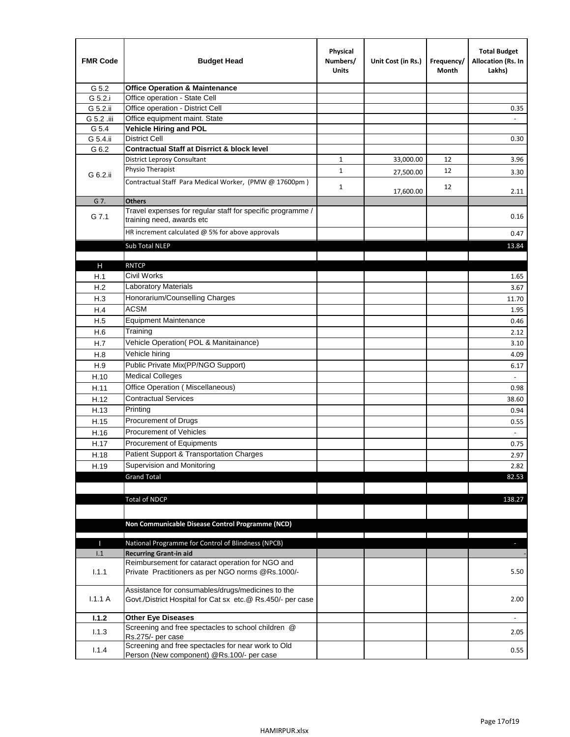| <b>FMR Code</b> | <b>Budget Head</b>                                                                                              | Physical<br>Numbers/<br><b>Units</b> | Unit Cost (in Rs.) | Frequency/<br>Month | <b>Total Budget</b><br>Allocation (Rs. In<br>Lakhs) |
|-----------------|-----------------------------------------------------------------------------------------------------------------|--------------------------------------|--------------------|---------------------|-----------------------------------------------------|
| G 5.2           | <b>Office Operation &amp; Maintenance</b>                                                                       |                                      |                    |                     |                                                     |
| G 5.2.i         | Office operation - State Cell                                                                                   |                                      |                    |                     |                                                     |
| G 5.2.ii        | Office operation - District Cell                                                                                |                                      |                    |                     | 0.35                                                |
| G 5.2 .iii      | Office equipment maint. State                                                                                   |                                      |                    |                     |                                                     |
| G 5.4           | Vehicle Hiring and POL                                                                                          |                                      |                    |                     |                                                     |
| G 5.4.ii        | <b>District Cell</b>                                                                                            |                                      |                    |                     | 0.30                                                |
| G 6.2           | <b>Contractual Staff at Disrrict &amp; block level</b>                                                          |                                      |                    |                     |                                                     |
|                 | <b>District Leprosy Consultant</b>                                                                              | 1                                    | 33,000.00          | 12                  | 3.96                                                |
| G 6.2.ii        | Physio Therapist                                                                                                | $\mathbf{1}$                         | 27,500.00          | 12                  | 3.30                                                |
|                 | Contractual Staff Para Medical Worker, (PMW @ 17600pm)                                                          | $\mathbf{1}$                         | 17,600.00          | 12                  | 2.11                                                |
| G 7.            | <b>Others</b>                                                                                                   |                                      |                    |                     |                                                     |
| G 7.1           | Travel expenses for regular staff for specific programme /<br>training need, awards etc                         |                                      |                    |                     | 0.16                                                |
|                 | HR increment calculated $\omega$ 5% for above approvals                                                         |                                      |                    |                     | 0.47                                                |
|                 | Sub Total NLEP                                                                                                  |                                      |                    |                     | 13.84                                               |
|                 |                                                                                                                 |                                      |                    |                     |                                                     |
| Н               | <b>RNTCP</b>                                                                                                    |                                      |                    |                     |                                                     |
| H.1             | Civil Works                                                                                                     |                                      |                    |                     | 1.65                                                |
| H.2             | Laboratory Materials                                                                                            |                                      |                    |                     | 3.67                                                |
| H.3             | Honorarium/Counselling Charges                                                                                  |                                      |                    |                     | 11.70                                               |
| H.4             | <b>ACSM</b>                                                                                                     |                                      |                    |                     | 1.95                                                |
| H.5             | <b>Equipment Maintenance</b>                                                                                    |                                      |                    |                     | 0.46                                                |
| H.6             | Training                                                                                                        |                                      |                    |                     | 2.12                                                |
| H.7             | Vehicle Operation(POL & Manitainance)                                                                           |                                      |                    |                     | 3.10                                                |
| H.8             | Vehicle hiring                                                                                                  |                                      |                    |                     | 4.09                                                |
| H.9             | Public Private Mix(PP/NGO Support)                                                                              |                                      |                    |                     | 6.17                                                |
| H.10            | <b>Medical Colleges</b>                                                                                         |                                      |                    |                     | $\omega$                                            |
| H.11            | Office Operation (Miscellaneous)                                                                                |                                      |                    |                     | 0.98                                                |
| H.12            | <b>Contractual Services</b>                                                                                     |                                      |                    |                     | 38.60                                               |
| H.13            | Printing                                                                                                        |                                      |                    |                     | 0.94                                                |
| H.15            | Procurement of Drugs                                                                                            |                                      |                    |                     | 0.55                                                |
| H.16            | Procurement of Vehicles                                                                                         |                                      |                    |                     | $\sim$                                              |
| H.17            | Procurement of Equipments                                                                                       |                                      |                    |                     | 0.75                                                |
| H.18            | Patient Support & Transportation Charges                                                                        |                                      |                    |                     | 2.97                                                |
| H.19            | Supervision and Monitoring                                                                                      |                                      |                    |                     | 2.82                                                |
|                 | <b>Grand Total</b>                                                                                              |                                      |                    |                     | 82.53                                               |
|                 |                                                                                                                 |                                      |                    |                     |                                                     |
|                 | <b>Total of NDCP</b>                                                                                            |                                      |                    |                     | 138.27                                              |
|                 | Non Communicable Disease Control Programme (NCD)                                                                |                                      |                    |                     |                                                     |
| Т               | National Programme for Control of Blindness (NPCB)                                                              |                                      |                    |                     | $\sim$                                              |
| 1.1             | <b>Recurring Grant-in aid</b>                                                                                   |                                      |                    |                     |                                                     |
|                 | Reimbursement for cataract operation for NGO and                                                                |                                      |                    |                     |                                                     |
| 1.1.1           | Private Practitioners as per NGO norms @Rs.1000/-                                                               |                                      |                    |                     | 5.50                                                |
| 1.1.1A          | Assistance for consumables/drugs/medicines to the<br>Govt./District Hospital for Cat sx etc.@ Rs.450/- per case |                                      |                    |                     | 2.00                                                |
| 1.1.2           | <b>Other Eye Diseases</b>                                                                                       |                                      |                    |                     |                                                     |
| 1.1.3           | Screening and free spectacles to school children @                                                              |                                      |                    |                     | 2.05                                                |
|                 | Rs.275/- per case                                                                                               |                                      |                    |                     |                                                     |
| 1.1.4           | Screening and free spectacles for near work to Old<br>Person (New component) @Rs.100/- per case                 |                                      |                    |                     | 0.55                                                |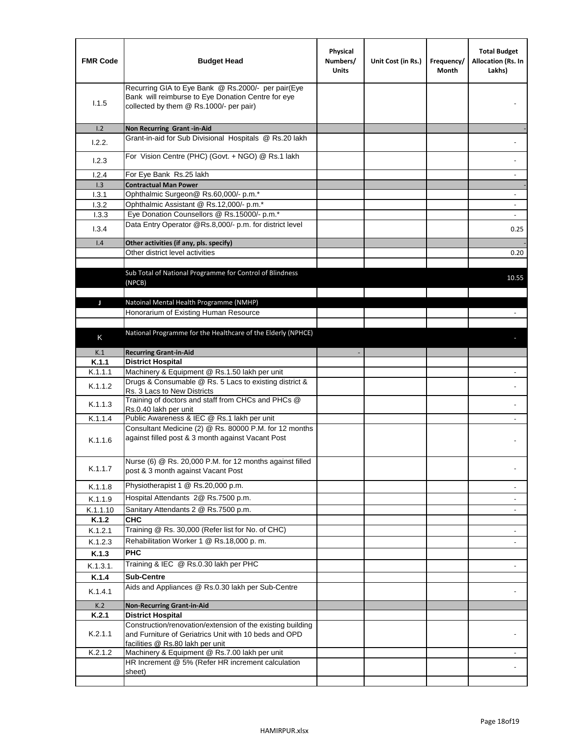| <b>FMR Code</b> | <b>Budget Head</b>                                                                                                                                      | Physical<br>Numbers/<br><b>Units</b> | Unit Cost (in Rs.) | Frequency/<br>Month | <b>Total Budget</b><br>Allocation (Rs. In<br>Lakhs) |
|-----------------|---------------------------------------------------------------------------------------------------------------------------------------------------------|--------------------------------------|--------------------|---------------------|-----------------------------------------------------|
| 1.1.5           | Recurring GIA to Eye Bank @ Rs.2000/- per pair(Eye<br>Bank will reimburse to Eye Donation Centre for eye<br>collected by them @ Rs.1000/- per pair)     |                                      |                    |                     |                                                     |
| 1.2             | Non Recurring Grant -in-Aid                                                                                                                             |                                      |                    |                     |                                                     |
| 1.2.2.          | Grant-in-aid for Sub Divisional Hospitals @ Rs.20 lakh                                                                                                  |                                      |                    |                     |                                                     |
| 1.2.3           | For Vision Centre (PHC) (Govt. + NGO) @ Rs.1 lakh                                                                                                       |                                      |                    |                     |                                                     |
| 1.2.4           | For Eye Bank Rs.25 lakh                                                                                                                                 |                                      |                    |                     |                                                     |
| 1.3<br>1.3.1    | <b>Contractual Man Power</b><br>Ophthalmic Surgeon@ Rs.60,000/- p.m.*                                                                                   |                                      |                    |                     |                                                     |
| 1.3.2           | Ophthalmic Assistant @ Rs.12,000/- p.m.*                                                                                                                |                                      |                    |                     |                                                     |
| 1.3.3           | Eye Donation Counsellors @ Rs.15000/- p.m.*                                                                                                             |                                      |                    |                     | $\overline{\phantom{a}}$                            |
|                 | Data Entry Operator @Rs.8,000/- p.m. for district level                                                                                                 |                                      |                    |                     |                                                     |
| 1.3.4           |                                                                                                                                                         |                                      |                    |                     | 0.25                                                |
| 1.4             | Other activities (if any, pls. specify)                                                                                                                 |                                      |                    |                     |                                                     |
|                 | Other district level activities                                                                                                                         |                                      |                    |                     | 0.20                                                |
|                 | Sub Total of National Programme for Control of Blindness<br>(NPCB)                                                                                      |                                      |                    |                     | 10.55                                               |
| J               | Natoinal Mental Health Programme (NMHP)                                                                                                                 |                                      |                    |                     |                                                     |
|                 | Honorarium of Existing Human Resource                                                                                                                   |                                      |                    |                     |                                                     |
|                 |                                                                                                                                                         |                                      |                    |                     |                                                     |
| K               | National Programme for the Healthcare of the Elderly (NPHCE)                                                                                            |                                      |                    |                     |                                                     |
|                 |                                                                                                                                                         |                                      |                    |                     |                                                     |
| K.1<br>K.1.1    | <b>Recurring Grant-in-Aid</b>                                                                                                                           |                                      |                    |                     |                                                     |
| K.1.1.1         | <b>District Hospital</b><br>Machinery & Equipment @ Rs.1.50 lakh per unit                                                                               |                                      |                    |                     |                                                     |
| K.1.1.2         | Drugs & Consumable @ Rs. 5 Lacs to existing district &                                                                                                  |                                      |                    |                     |                                                     |
| K.1.1.3         | Rs. 3 Lacs to New Districts<br>Training of doctors and staff from CHCs and PHCs @<br>Rs.0.40 lakh per unit                                              |                                      |                    |                     |                                                     |
| K.1.1.4         | Public Awareness & IEC @ Rs.1 lakh per unit                                                                                                             |                                      |                    |                     |                                                     |
| K.1.1.6         | Consultant Medicine (2) @ Rs. 80000 P.M. for 12 months<br>against filled post & 3 month against Vacant Post                                             |                                      |                    |                     |                                                     |
| K.1.1.7         | Nurse (6) @ Rs. 20,000 P.M. for 12 months against filled<br>post & 3 month against Vacant Post                                                          |                                      |                    |                     |                                                     |
| K.1.1.8         | Physiotherapist 1 @ Rs.20,000 p.m.                                                                                                                      |                                      |                    |                     |                                                     |
| K.1.1.9         | Hospital Attendants 2@ Rs.7500 p.m.                                                                                                                     |                                      |                    |                     |                                                     |
| K.1.1.10        | Sanitary Attendants 2 @ Rs.7500 p.m.                                                                                                                    |                                      |                    |                     | $\overline{\phantom{a}}$                            |
| K.1.2           | <b>CHC</b>                                                                                                                                              |                                      |                    |                     |                                                     |
| K.1.2.1         | Training @ Rs. 30,000 (Refer list for No. of CHC)                                                                                                       |                                      |                    |                     |                                                     |
| K.1.2.3         | Rehabilitation Worker 1 @ Rs.18,000 p.m.                                                                                                                |                                      |                    |                     |                                                     |
| K.1.3           | <b>PHC</b>                                                                                                                                              |                                      |                    |                     |                                                     |
| K.1.3.1.        | Training & IEC @ Rs.0.30 lakh per PHC                                                                                                                   |                                      |                    |                     |                                                     |
| K.1.4           | <b>Sub-Centre</b>                                                                                                                                       |                                      |                    |                     |                                                     |
| K.1.4.1         | Aids and Appliances @ Rs.0.30 lakh per Sub-Centre                                                                                                       |                                      |                    |                     |                                                     |
| K.2             | <b>Non-Recurring Grant-in-Aid</b>                                                                                                                       |                                      |                    |                     |                                                     |
| K.2.1           | <b>District Hospital</b>                                                                                                                                |                                      |                    |                     |                                                     |
| K.2.1.1         | Construction/renovation/extension of the existing building<br>and Furniture of Geriatrics Unit with 10 beds and OPD<br>facilities @ Rs.80 lakh per unit |                                      |                    |                     |                                                     |
| K.2.1.2         | Machinery & Equipment @ Rs.7.00 lakh per unit                                                                                                           |                                      |                    |                     |                                                     |
|                 | HR Increment @ 5% (Refer HR increment calculation<br>sheet)                                                                                             |                                      |                    |                     |                                                     |
|                 |                                                                                                                                                         |                                      |                    |                     |                                                     |